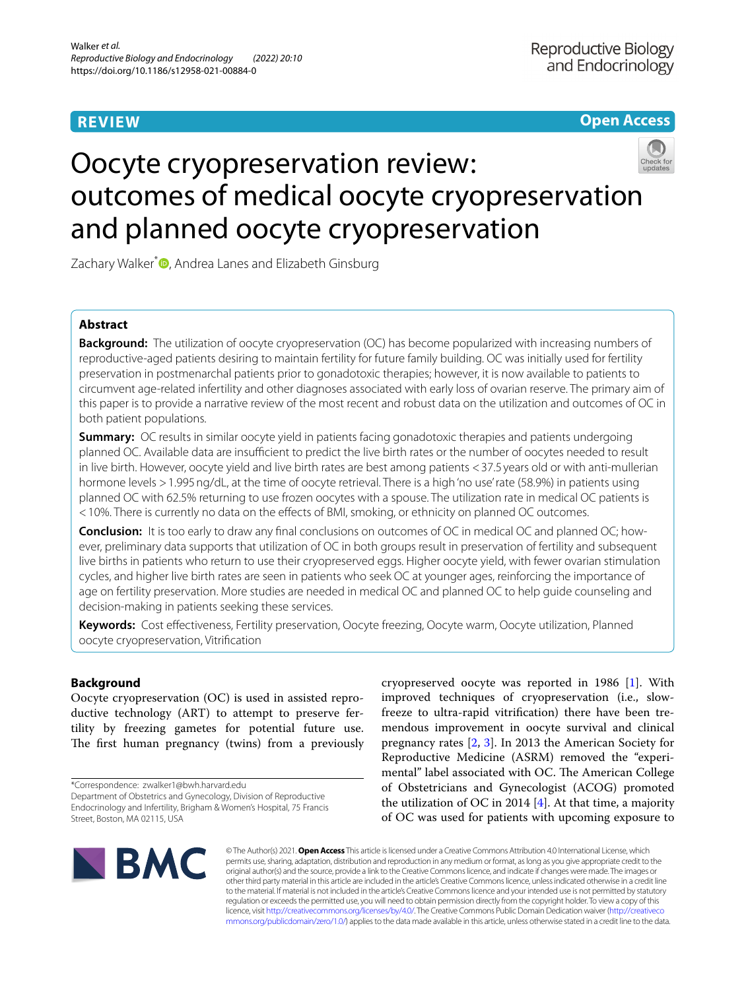# **REVIEW**

**Open Access**

# Oocyte cryopreservation review: outcomes of medical oocyte cryopreservation and planned oocyte cryopreservation

Zachary Walker<sup>\*</sup><sup>D</sup>[,](http://orcid.org/0000-0002-9761-8901) Andrea Lanes and Elizabeth Ginsburg

# **Abstract**

**Background:** The utilization of oocyte cryopreservation (OC) has become popularized with increasing numbers of reproductive-aged patients desiring to maintain fertility for future family building. OC was initially used for fertility preservation in postmenarchal patients prior to gonadotoxic therapies; however, it is now available to patients to circumvent age-related infertility and other diagnoses associated with early loss of ovarian reserve. The primary aim of this paper is to provide a narrative review of the most recent and robust data on the utilization and outcomes of OC in both patient populations.

**Summary:** OC results in similar oocyte yield in patients facing gonadotoxic therapies and patients undergoing planned OC. Available data are insufficient to predict the live birth rates or the number of oocytes needed to result in live birth. However, oocyte yield and live birth rates are best among patients <37.5 years old or with anti-mullerian hormone levels >1.995ng/dL, at the time of oocyte retrieval. There is a high 'no use' rate (58.9%) in patients using planned OC with 62.5% returning to use frozen oocytes with a spouse. The utilization rate in medical OC patients is <10%. There is currently no data on the efects of BMI, smoking, or ethnicity on planned OC outcomes.

**Conclusion:** It is too early to draw any fnal conclusions on outcomes of OC in medical OC and planned OC; however, preliminary data supports that utilization of OC in both groups result in preservation of fertility and subsequent live births in patients who return to use their cryopreserved eggs. Higher oocyte yield, with fewer ovarian stimulation cycles, and higher live birth rates are seen in patients who seek OC at younger ages, reinforcing the importance of age on fertility preservation. More studies are needed in medical OC and planned OC to help guide counseling and decision-making in patients seeking these services.

**Keywords:** Cost efectiveness, Fertility preservation, Oocyte freezing, Oocyte warm, Oocyte utilization, Planned oocyte cryopreservation, Vitrifcation

# **Background**

Oocyte cryopreservation (OC) is used in assisted reproductive technology (ART) to attempt to preserve fertility by freezing gametes for potential future use. The first human pregnancy (twins) from a previously

\*Correspondence: zwalker1@bwh.harvard.edu

Department of Obstetrics and Gynecology, Division of Reproductive Endocrinology and Infertility, Brigham & Women's Hospital, 75 Francis Street, Boston, MA 02115, USA

cryopreserved oocyte was reported in 1986 [[1](#page-12-0)]. With improved techniques of cryopreservation (i.e., slowfreeze to ultra-rapid vitrifcation) there have been tremendous improvement in oocyte survival and clinical pregnancy rates [\[2](#page-12-1), [3\]](#page-12-2). In 2013 the American Society for Reproductive Medicine (ASRM) removed the "experimental" label associated with OC. The American College of Obstetricians and Gynecologist (ACOG) promoted the utilization of OC in 2014  $[4]$  $[4]$ . At that time, a majority of OC was used for patients with upcoming exposure to



© The Author(s) 2021. **Open Access** This article is licensed under a Creative Commons Attribution 4.0 International License, which permits use, sharing, adaptation, distribution and reproduction in any medium or format, as long as you give appropriate credit to the original author(s) and the source, provide a link to the Creative Commons licence, and indicate if changes were made. The images or other third party material in this article are included in the article's Creative Commons licence, unless indicated otherwise in a credit line to the material. If material is not included in the article's Creative Commons licence and your intended use is not permitted by statutory regulation or exceeds the permitted use, you will need to obtain permission directly from the copyright holder. To view a copy of this licence, visit [http://creativecommons.org/licenses/by/4.0/.](http://creativecommons.org/licenses/by/4.0/) The Creative Commons Public Domain Dedication waiver ([http://creativeco](http://creativecommons.org/publicdomain/zero/1.0/) [mmons.org/publicdomain/zero/1.0/](http://creativecommons.org/publicdomain/zero/1.0/)) applies to the data made available in this article, unless otherwise stated in a credit line to the data.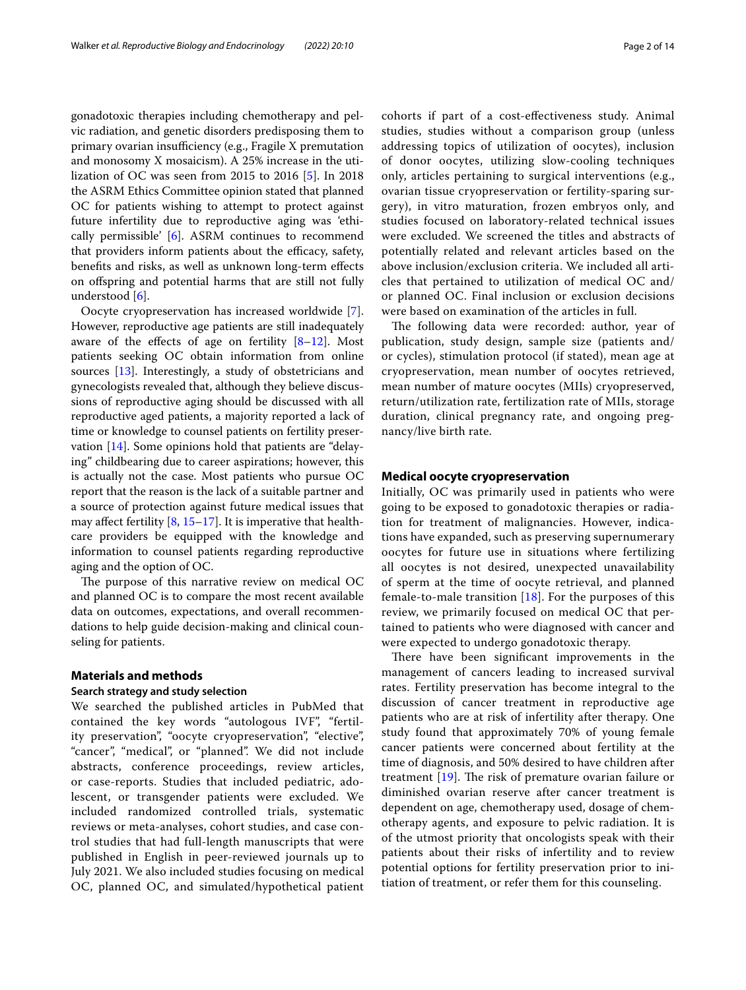gonadotoxic therapies including chemotherapy and pelvic radiation, and genetic disorders predisposing them to primary ovarian insufficiency (e.g., Fragile X premutation and monosomy X mosaicism). A 25% increase in the utilization of OC was seen from 2015 to 2016 [\[5\]](#page-12-4). In 2018 the ASRM Ethics Committee opinion stated that planned OC for patients wishing to attempt to protect against future infertility due to reproductive aging was 'ethically permissible' [[6\]](#page-12-5). ASRM continues to recommend that providers inform patients about the efficacy, safety, benefts and risks, as well as unknown long-term efects on ofspring and potential harms that are still not fully understood [\[6](#page-12-5)].

Oocyte cryopreservation has increased worldwide [\[7](#page-12-6)]. However, reproductive age patients are still inadequately aware of the effects of age on fertility  $[8-12]$  $[8-12]$  $[8-12]$ . Most patients seeking OC obtain information from online sources [[13\]](#page-12-9). Interestingly, a study of obstetricians and gynecologists revealed that, although they believe discussions of reproductive aging should be discussed with all reproductive aged patients, a majority reported a lack of time or knowledge to counsel patients on fertility preservation [\[14](#page-12-10)]. Some opinions hold that patients are "delaying" childbearing due to career aspirations; however, this is actually not the case. Most patients who pursue OC report that the reason is the lack of a suitable partner and a source of protection against future medical issues that may affect fertility  $[8, 15-17]$  $[8, 15-17]$  $[8, 15-17]$ . It is imperative that healthcare providers be equipped with the knowledge and information to counsel patients regarding reproductive aging and the option of OC.

The purpose of this narrative review on medical OC and planned OC is to compare the most recent available data on outcomes, expectations, and overall recommendations to help guide decision-making and clinical counseling for patients.

# **Materials and methods**

#### **Search strategy and study selection**

We searched the published articles in PubMed that contained the key words "autologous IVF", "fertility preservation", "oocyte cryopreservation", "elective", "cancer", "medical", or "planned". We did not include abstracts, conference proceedings, review articles, or case-reports. Studies that included pediatric, adolescent, or transgender patients were excluded. We included randomized controlled trials, systematic reviews or meta-analyses, cohort studies, and case control studies that had full-length manuscripts that were published in English in peer-reviewed journals up to July 2021. We also included studies focusing on medical OC, planned OC, and simulated/hypothetical patient cohorts if part of a cost-efectiveness study. Animal studies, studies without a comparison group (unless addressing topics of utilization of oocytes), inclusion of donor oocytes, utilizing slow-cooling techniques only, articles pertaining to surgical interventions (e.g., ovarian tissue cryopreservation or fertility-sparing surgery), in vitro maturation, frozen embryos only, and studies focused on laboratory-related technical issues were excluded. We screened the titles and abstracts of potentially related and relevant articles based on the above inclusion/exclusion criteria. We included all articles that pertained to utilization of medical OC and/ or planned OC. Final inclusion or exclusion decisions were based on examination of the articles in full.

The following data were recorded: author, year of publication, study design, sample size (patients and/ or cycles), stimulation protocol (if stated), mean age at cryopreservation, mean number of oocytes retrieved, mean number of mature oocytes (MIIs) cryopreserved, return/utilization rate, fertilization rate of MIIs, storage duration, clinical pregnancy rate, and ongoing pregnancy/live birth rate.

# **Medical oocyte cryopreservation**

Initially, OC was primarily used in patients who were going to be exposed to gonadotoxic therapies or radiation for treatment of malignancies. However, indications have expanded, such as preserving supernumerary oocytes for future use in situations where fertilizing all oocytes is not desired, unexpected unavailability of sperm at the time of oocyte retrieval, and planned female-to-male transition  $[18]$  $[18]$  $[18]$ . For the purposes of this review, we primarily focused on medical OC that pertained to patients who were diagnosed with cancer and were expected to undergo gonadotoxic therapy.

There have been significant improvements in the management of cancers leading to increased survival rates. Fertility preservation has become integral to the discussion of cancer treatment in reproductive age patients who are at risk of infertility after therapy. One study found that approximately 70% of young female cancer patients were concerned about fertility at the time of diagnosis, and 50% desired to have children after treatment  $[19]$  $[19]$ . The risk of premature ovarian failure or diminished ovarian reserve after cancer treatment is dependent on age, chemotherapy used, dosage of chemotherapy agents, and exposure to pelvic radiation. It is of the utmost priority that oncologists speak with their patients about their risks of infertility and to review potential options for fertility preservation prior to initiation of treatment, or refer them for this counseling.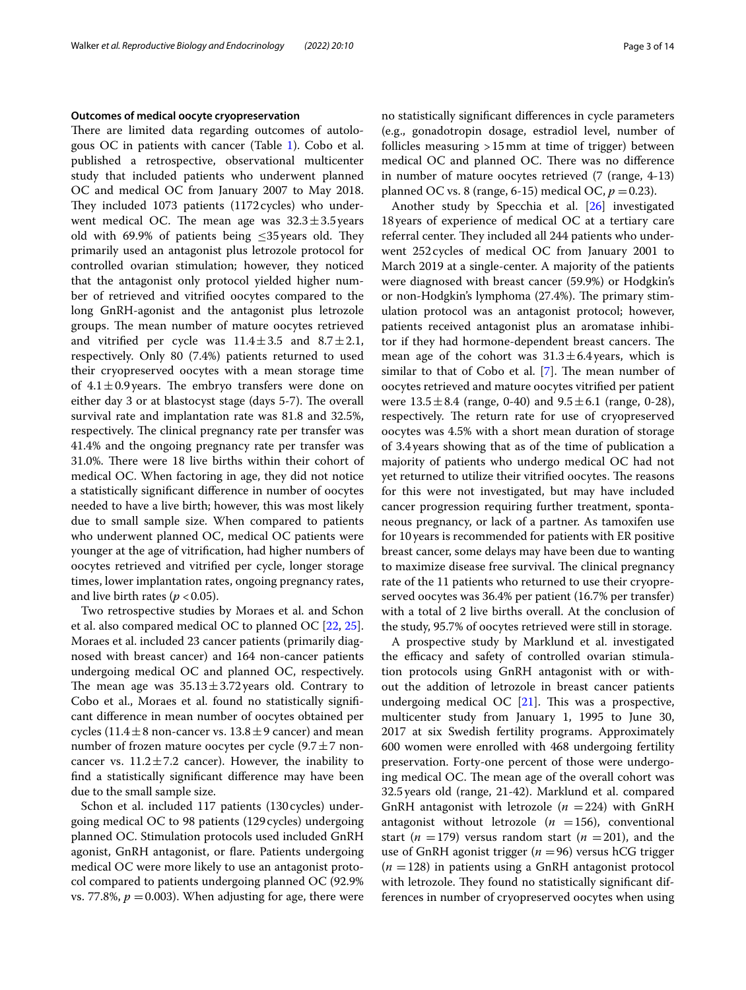#### **Outcomes of medical oocyte cryopreservation**

There are limited data regarding outcomes of autologous OC in patients with cancer (Table [1](#page-3-0)). Cobo et al. published a retrospective, observational multicenter study that included patients who underwent planned OC and medical OC from January 2007 to May 2018. They included 1073 patients (1172 cycles) who underwent medical OC. The mean age was  $32.3 \pm 3.5$  years old with 69.9% of patients being  $\leq$ 35 years old. They primarily used an antagonist plus letrozole protocol for controlled ovarian stimulation; however, they noticed that the antagonist only protocol yielded higher number of retrieved and vitrifed oocytes compared to the long GnRH-agonist and the antagonist plus letrozole groups. The mean number of mature oocytes retrieved and vitrified per cycle was  $11.4 \pm 3.5$  and  $8.7 \pm 2.1$ , respectively. Only 80 (7.4%) patients returned to used their cryopreserved oocytes with a mean storage time of  $4.1 \pm 0.9$  years. The embryo transfers were done on either day 3 or at blastocyst stage (days 5-7). The overall survival rate and implantation rate was 81.8 and 32.5%, respectively. The clinical pregnancy rate per transfer was 41.4% and the ongoing pregnancy rate per transfer was 31.0%. There were 18 live births within their cohort of medical OC. When factoring in age, they did not notice a statistically signifcant diference in number of oocytes needed to have a live birth; however, this was most likely due to small sample size. When compared to patients who underwent planned OC, medical OC patients were younger at the age of vitrifcation, had higher numbers of oocytes retrieved and vitrifed per cycle, longer storage times, lower implantation rates, ongoing pregnancy rates, and live birth rates ( $p < 0.05$ ).

Two retrospective studies by Moraes et al. and Schon et al. also compared medical OC to planned OC [[22](#page-12-15), [25](#page-12-16)]. Moraes et al. included 23 cancer patients (primarily diagnosed with breast cancer) and 164 non-cancer patients undergoing medical OC and planned OC, respectively. The mean age was  $35.13 \pm 3.72$  years old. Contrary to Cobo et al., Moraes et al. found no statistically signifcant diference in mean number of oocytes obtained per cycles (11.4 $\pm$ 8 non-cancer vs. 13.8 $\pm$ 9 cancer) and mean number of frozen mature oocytes per cycle  $(9.7 \pm 7 \text{ non-}$ cancer vs.  $11.2 \pm 7.2$  cancer). However, the inability to fnd a statistically signifcant diference may have been due to the small sample size.

Schon et al. included 117 patients (130cycles) undergoing medical OC to 98 patients (129 cycles) undergoing planned OC. Stimulation protocols used included GnRH agonist, GnRH antagonist, or flare. Patients undergoing medical OC were more likely to use an antagonist protocol compared to patients undergoing planned OC (92.9% vs. 77.8%,  $p = 0.003$ ). When adjusting for age, there were no statistically signifcant diferences in cycle parameters (e.g., gonadotropin dosage, estradiol level, number of follicles measuring >15mm at time of trigger) between medical OC and planned OC. There was no difference

in number of mature oocytes retrieved (7 (range, 4-13)

planned OC vs. 8 (range, 6-15) medical OC,  $p = 0.23$ ). Another study by Specchia et al. [[26\]](#page-12-17) investigated 18years of experience of medical OC at a tertiary care referral center. They included all 244 patients who underwent 252cycles of medical OC from January 2001 to March 2019 at a single-center. A majority of the patients were diagnosed with breast cancer (59.9%) or Hodgkin's or non-Hodgkin's lymphoma (27.4%). The primary stimulation protocol was an antagonist protocol; however, patients received antagonist plus an aromatase inhibitor if they had hormone-dependent breast cancers. The mean age of the cohort was  $31.3 \pm 6.4$  years, which is similar to that of Cobo et al.  $[7]$  $[7]$  $[7]$ . The mean number of oocytes retrieved and mature oocytes vitrifed per patient were  $13.5 \pm 8.4$  (range, 0-40) and  $9.5 \pm 6.1$  (range, 0-28), respectively. The return rate for use of cryopreserved oocytes was 4.5% with a short mean duration of storage of 3.4years showing that as of the time of publication a majority of patients who undergo medical OC had not yet returned to utilize their vitrified oocytes. The reasons for this were not investigated, but may have included cancer progression requiring further treatment, spontaneous pregnancy, or lack of a partner. As tamoxifen use for 10years is recommended for patients with ER positive breast cancer, some delays may have been due to wanting to maximize disease free survival. The clinical pregnancy rate of the 11 patients who returned to use their cryopreserved oocytes was 36.4% per patient (16.7% per transfer) with a total of 2 live births overall. At the conclusion of the study, 95.7% of oocytes retrieved were still in storage.

A prospective study by Marklund et al. investigated the efficacy and safety of controlled ovarian stimulation protocols using GnRH antagonist with or without the addition of letrozole in breast cancer patients undergoing medical OC  $[21]$  $[21]$  $[21]$ . This was a prospective, multicenter study from January 1, 1995 to June 30, 2017 at six Swedish fertility programs. Approximately 600 women were enrolled with 468 undergoing fertility preservation. Forty-one percent of those were undergoing medical OC. The mean age of the overall cohort was 32.5years old (range, 21-42). Marklund et al. compared GnRH antagonist with letrozole  $(n = 224)$  with GnRH antagonist without letrozole  $(n = 156)$ , conventional start ( $n = 179$ ) versus random start ( $n = 201$ ), and the use of GnRH agonist trigger ( $n = 96$ ) versus hCG trigger  $(n = 128)$  in patients using a GnRH antagonist protocol with letrozole. They found no statistically significant differences in number of cryopreserved oocytes when using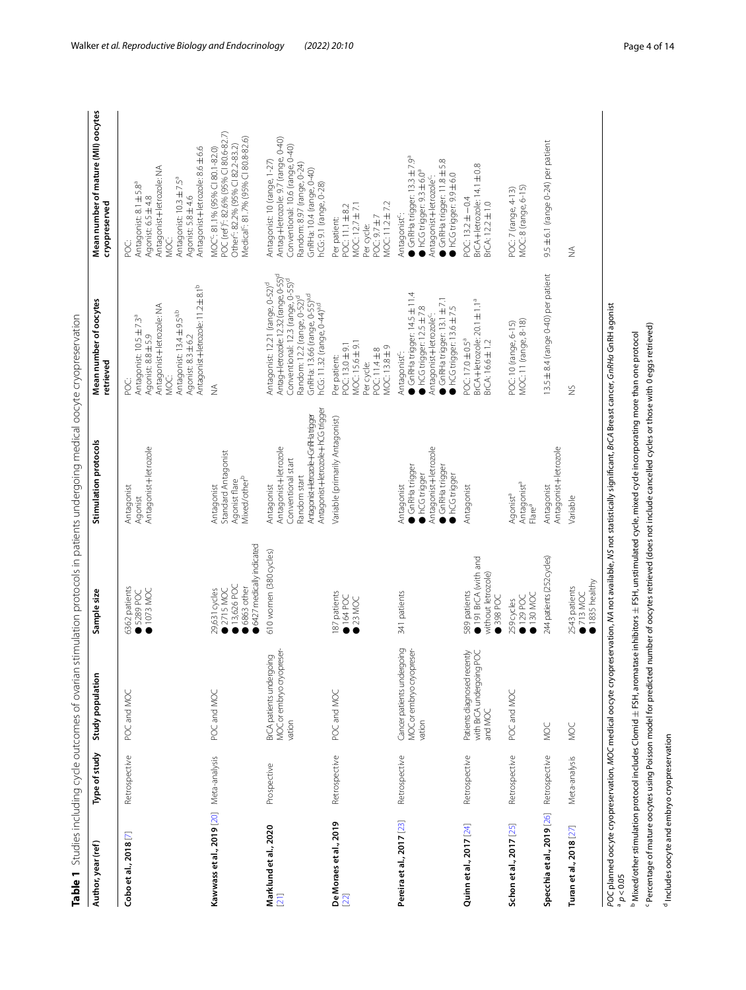|                                          |               |                                                                    |                                                                                    | Table 1 Studies including cycle outcomes of ovarian stimulation protocols in patients undergoing medical oocyte cryopreservation                  |                                                                                                                                                                                                                                                                                      |                                                                                                                                                                                                      |
|------------------------------------------|---------------|--------------------------------------------------------------------|------------------------------------------------------------------------------------|---------------------------------------------------------------------------------------------------------------------------------------------------|--------------------------------------------------------------------------------------------------------------------------------------------------------------------------------------------------------------------------------------------------------------------------------------|------------------------------------------------------------------------------------------------------------------------------------------------------------------------------------------------------|
| Author, year (ref)                       | Type of study | Study population                                                   | Sample size                                                                        | Stimulation protocols                                                                                                                             | Mean number of oocytes<br>retrieved                                                                                                                                                                                                                                                  | Mean number of mature (MII) oocytes<br>cryopreserved                                                                                                                                                 |
| Cobo et al., 2018 <sup>[7]</sup>         | Retrospective | POC and MOC                                                        | 6362 patients<br>1073 MOC<br>■ 5289 POC                                            | Antagonist+letrozole<br>Antagonist<br>Agonist                                                                                                     | Antagonist+letrozole: 11.2±8.1 <sup>b</sup><br>Antagonist+letrozole: NA<br>Antagonist: 13.4 ±9.5 <sup>a,b</sup><br>Antagonist: 10.5 ±7.3ª<br>Agonist: 8.8 ± 5.9<br>Agonist: 8.3 ±6.2<br>MOC:<br>ن<br>S                                                                               | Antagonist+letrozole: 8.6±6.6<br>Antagonist+letrozole: NA<br>Antagonist: 10.3 ± 7.5 <sup>ª</sup><br>Antagonist: 8.1 ± 5.8ª<br>Agonist: 5.8 ±4.6<br>Agonist: 6.5 ±4.8<br>MOC:<br>CC:                  |
| Kawwass et al., 2019 [20] Meta-analysis  |               | POC and MOC                                                        | 6427 medically indicated<br>13,626 POC<br>6863 other<br>29,631 cycles<br>12715 MOC | Standard Antagonist<br>Mixed/other <sup>b</sup><br>Agonist flare<br>Antagonist                                                                    | $\frac{1}{2}$                                                                                                                                                                                                                                                                        | POC (ref) <sup>c</sup> : 82.6% (95% CI 80.6-82.7)<br>Medical <sup>c</sup> : 81.7% (95% CI 80.8-82.6)<br>Other <sup>c</sup> : 82.2% (95% CI 82.2-83.2)<br>MOC <sup>-</sup> : 81.1% (95% CI 80.1-82.0) |
| Marklund et al., 2020<br>[21]            | Prospective   | MOC or embryo cryopreser-<br>BrCA patients undergoing<br>vation    | 610 women (380 cycles)                                                             | Antagonist+letrozole+hCG trigger<br>Antagonist+letrozole+GnRHatrigger<br>Antagonist+letrozole<br>Conventional start<br>Random start<br>Antagonist | Antag+letrozole: 1232 (range, 0-55) <sup>d</sup><br>Conventional: 12.3 (range, 0-55) <sup>d</sup><br>Antagonist: 12.21 (range, 0-52) <sup>d</sup><br>GnRHa: 13.66 (range, 0-55) <sup>a,d</sup><br>Random: 12.2 (range, 0-52) <sup>d</sup><br>hCG: 11.32 (range, 0-44) <sup>a,d</sup> | Antag+letrozole: 9.7 (range, 0-40)<br>Conventional: 10.6 (range, 0-40)<br>Antagonist: 10 (range, 1-27)<br>Random: 8.97 (range, 0-24)<br>GnRHa: 10.4 (range, 0-40)<br>hCG: 9.1 (range, 0-28)          |
| De Moraes et al., 2019<br>$[22]$         | Retrospective | POC and MOC                                                        | 187 patients<br>164POC<br>$23$ MOC                                                 | Variable (primarily Antagonist)                                                                                                                   | MOC: 15.6 ± 9.1<br>POC: 13.0±9.1<br>MOC: 13.8±9<br>POC: 11.4±8<br>Per patient:<br>Per cycle:                                                                                                                                                                                         | MOC: 11.2 ± 7.2<br>MOC: 12.7 ± 7.1<br>20C:11.1±82<br>75.97±7<br>Per patient:<br>Per cycle:                                                                                                           |
| Pereira et al., 2017 [23]                | Retrospective | Cancer patients undergoing<br>MOC or embryo cryopreser-<br>vation  | 341 patients                                                                       | Antagonist+letrozole<br>GnRHa trigger<br>GnRHa trigger<br>hCG trigger<br>hCG trigger<br>Antagonist                                                | GnRHa trigger: 14.5±11.4<br>GnRHa trigger: 13.1 ± 7.1<br>hCG trigger: 12.5±7.8<br>hCG trigger: 13.6±7.5<br>Antagonist+letrozole <sup>c</sup> :<br>Antagonist <sup>c</sup> :                                                                                                          | GnRHa trigger: 13.3 ± 7.9ª<br>GnRHa trigger: 11.8 ± 5.8<br>$NCG$ trigger: $9.3 \pm 6.0$ <sup>a</sup><br>hCG trigger: 9.9 ± 6.0<br>Antagonist+letrozole <sup>c</sup> :<br>Antagonist <sup>c</sup> :   |
| Quinn et al., 2017 [24]                  | Retrospective | Patients diagnosed recently<br>with BrCA undergoing POC<br>and MOC | 191 BrCA (with and<br>without letrozole)<br>589 patients<br>398 POC                | Antagonist                                                                                                                                        | BrCA+letrozole: 20.1±1.1ª<br>BrCA: 16.6±1.2<br>POC: 17.0 ± 0.5 <sup>a</sup>                                                                                                                                                                                                          | BrCA+letrozole: 14.1±0.8<br>BrCA: 12.2±1.0<br>POC: 13.2±-0.4                                                                                                                                         |
| Schon et al., 2017 [25]                  | Retrospective | POC and MOC                                                        | 130 MOC<br>$129$ POC<br>259 cycles                                                 | Antagonist <sup>a</sup><br>Agonist <sup>a</sup><br>Flare <sup>a</sup>                                                                             | MOC: 11 (range, 8-18)<br>POC: 10 (range, 6-15)                                                                                                                                                                                                                                       | MOC: 8 (range, 6-15)<br>POC: 7 (range, 4-13)                                                                                                                                                         |
| Specchia et al., 2019 [26] Retrospective |               | MOC                                                                | 244 patients (252 cycles)                                                          | Antagonist+letrozole<br>Antagonist                                                                                                                | 13.5 ± 8.4 (range 0-40) per patient                                                                                                                                                                                                                                                  | 9.5 ±6.1 (range 0-24) per patient                                                                                                                                                                    |

Table 1 Studies including cycle outcomes of ovarian stimulation protocols in patients undergoing medical oocyte cryopreservation

*POC* planned oocyte cryopreservation, *MOC* medical oocyte cryopreservation, *NA* not available, *NS* not statistically signifcant, *BrCA* Breast cancer, *GnRHa* GnRH agonist a*POC* planned oocyte cryopreservation, *MOC* medical oocyte cryopreservation, MA not available, NS not statistically significant, *BrCA* Breast cancer, GnRHa GnRH agonist<br><sup>a</sup> p < 0.05

● 713 MOC ● 1835 healthy

2543 patients<br>● 713 MOC<br>● 1835 healthy

Variable NS NA

 $\gtrapprox$ 

Variable

 $\lessgtr$ 

**Turan et al., 2018** [[27\]](#page-12-22) Meta-analysis MOC 2543 patients

Meta-analysis

<span id="page-3-0"></span>Turan et al., 2018 [27]

MOC

b Mixed/other stimulation protocol includes Clomid ± FSH, aromatase inhibitors ± FSH, unstimulated cycle, mixed cycle incorporating more than one protocol ± FSH, unstimulated cycle, mixed cycle incorporating more than one protocol ± FSH, aromatase inhibitors b Mixed/other stimulation protocol includes Clomid

<sup>c</sup> Percentage of mature oocytes using Poisson model for predicted number of oocytes retrieved (does not include cancelled cycles or those with 0 eggs retrieved) c Percentage of mature oocytes using Poisson model for predicted number of oocytes retrieved (does not include cancelled cycles or those with 0 eggs retrieved)

<sup>d</sup> Includes oocyte and embryo cryopreservation d Includes oocyte and embryo cryopreservation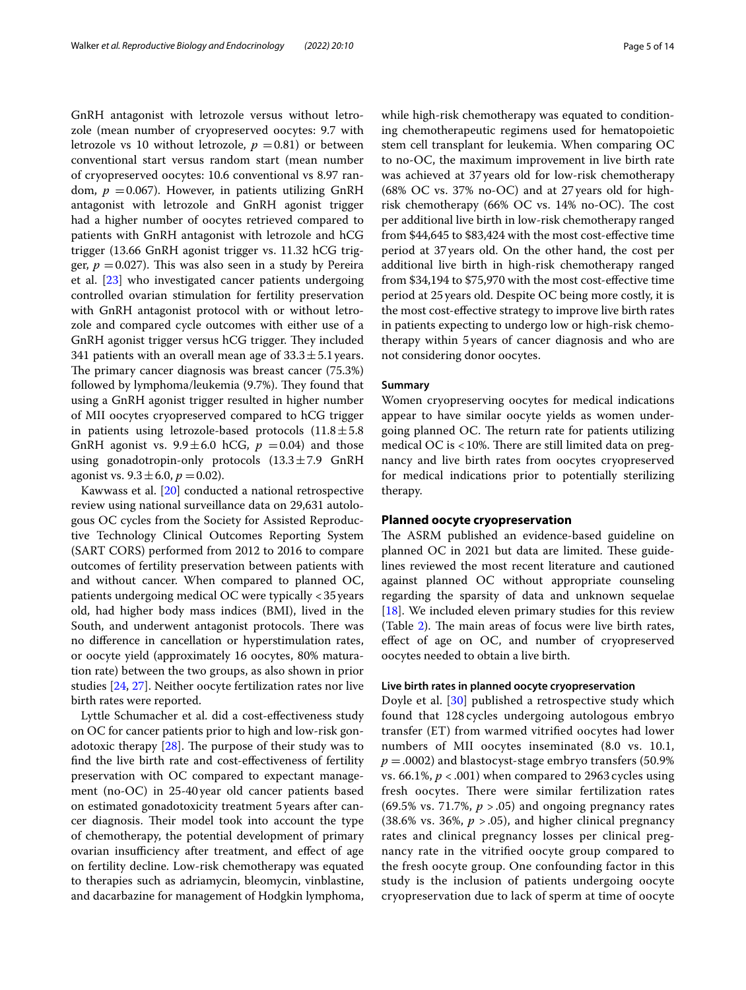GnRH antagonist with letrozole versus without letrozole (mean number of cryopreserved oocytes: 9.7 with letrozole vs 10 without letrozole,  $p = 0.81$ ) or between conventional start versus random start (mean number of cryopreserved oocytes: 10.6 conventional vs 8.97 random,  $p = 0.067$ ). However, in patients utilizing GnRH antagonist with letrozole and GnRH agonist trigger had a higher number of oocytes retrieved compared to patients with GnRH antagonist with letrozole and hCG trigger (13.66 GnRH agonist trigger vs. 11.32 hCG trigger,  $p = 0.027$ ). This was also seen in a study by Pereira et al. [[23\]](#page-12-20) who investigated cancer patients undergoing controlled ovarian stimulation for fertility preservation with GnRH antagonist protocol with or without letrozole and compared cycle outcomes with either use of a GnRH agonist trigger versus hCG trigger. They included 341 patients with an overall mean age of  $33.3 \pm 5.1$  years. The primary cancer diagnosis was breast cancer (75.3%) followed by lymphoma/leukemia (9.7%). They found that using a GnRH agonist trigger resulted in higher number of MII oocytes cryopreserved compared to hCG trigger in patients using letrozole-based protocols  $(11.8 \pm 5.8)$ GnRH agonist vs.  $9.9 \pm 6.0$  hCG,  $p = 0.04$ ) and those using gonadotropin-only protocols  $(13.3 \pm 7.9 \text{ GnRH})$ agonist vs.  $9.3 \pm 6.0$ ,  $p = 0.02$ ).

Kawwass et al. [\[20](#page-12-19)] conducted a national retrospective review using national surveillance data on 29,631 autologous OC cycles from the Society for Assisted Reproductive Technology Clinical Outcomes Reporting System (SART CORS) performed from 2012 to 2016 to compare outcomes of fertility preservation between patients with and without cancer. When compared to planned OC, patients undergoing medical OC were typically <35years old, had higher body mass indices (BMI), lived in the South, and underwent antagonist protocols. There was no diference in cancellation or hyperstimulation rates, or oocyte yield (approximately 16 oocytes, 80% maturation rate) between the two groups, as also shown in prior studies [[24,](#page-12-21) [27](#page-12-22)]. Neither oocyte fertilization rates nor live birth rates were reported.

Lyttle Schumacher et al. did a cost-efectiveness study on OC for cancer patients prior to high and low-risk gonadotoxic therapy  $[28]$  $[28]$ . The purpose of their study was to fnd the live birth rate and cost-efectiveness of fertility preservation with OC compared to expectant management (no-OC) in 25-40year old cancer patients based on estimated gonadotoxicity treatment 5years after cancer diagnosis. Their model took into account the type of chemotherapy, the potential development of primary ovarian insufficiency after treatment, and effect of age on fertility decline. Low-risk chemotherapy was equated to therapies such as adriamycin, bleomycin, vinblastine, and dacarbazine for management of Hodgkin lymphoma, while high-risk chemotherapy was equated to conditioning chemotherapeutic regimens used for hematopoietic stem cell transplant for leukemia. When comparing OC to no-OC, the maximum improvement in live birth rate was achieved at 37years old for low-risk chemotherapy (68% OC vs. 37% no-OC) and at 27 years old for highrisk chemotherapy (66% OC vs.  $14%$  no-OC). The cost per additional live birth in low-risk chemotherapy ranged from \$44,645 to \$83,424 with the most cost-efective time period at 37years old. On the other hand, the cost per additional live birth in high-risk chemotherapy ranged from \$34,194 to \$75,970 with the most cost-efective time period at 25years old. Despite OC being more costly, it is the most cost-efective strategy to improve live birth rates in patients expecting to undergo low or high-risk chemotherapy within 5years of cancer diagnosis and who are not considering donor oocytes.

# **Summary**

Women cryopreserving oocytes for medical indications appear to have similar oocyte yields as women undergoing planned OC. The return rate for patients utilizing medical OC is  $<$  10%. There are still limited data on pregnancy and live birth rates from oocytes cryopreserved for medical indications prior to potentially sterilizing therapy.

#### **Planned oocyte cryopreservation**

The ASRM published an evidence-based guideline on planned OC in 2021 but data are limited. These guidelines reviewed the most recent literature and cautioned against planned OC without appropriate counseling regarding the sparsity of data and unknown sequelae [[18\]](#page-12-13). We included eleven primary studies for this review (Table  $2$ ). The main areas of focus were live birth rates, efect of age on OC, and number of cryopreserved oocytes needed to obtain a live birth.

# **Live birth rates in planned oocyte cryopreservation**

Doyle et al. [[30](#page-13-0)] published a retrospective study which found that 128 cycles undergoing autologous embryo transfer (ET) from warmed vitrifed oocytes had lower numbers of MII oocytes inseminated (8.0 vs. 10.1,  $p = .0002$ ) and blastocyst-stage embryo transfers (50.9%) vs. 66.1%, *p* < .001) when compared to 2963 cycles using fresh oocytes. There were similar fertilization rates (69.5% vs. 71.7%, *p* > .05) and ongoing pregnancy rates (38.6% vs. 36%,  $p > .05$ ), and higher clinical pregnancy rates and clinical pregnancy losses per clinical pregnancy rate in the vitrifed oocyte group compared to the fresh oocyte group. One confounding factor in this study is the inclusion of patients undergoing oocyte cryopreservation due to lack of sperm at time of oocyte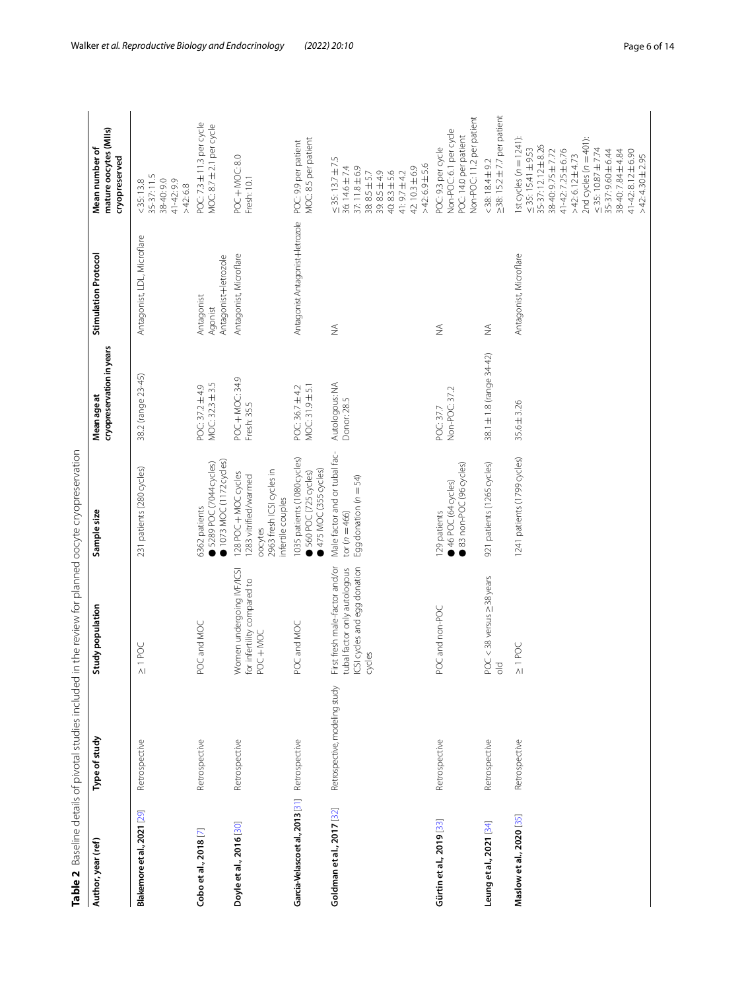<span id="page-5-0"></span>

|                                  | Table 2 Baseline details of pivotal studies included in the review for planned oocyte cryopreservation |                                                                                                          |                                                                                                           |                                          |                                               |                                                                                                                                                                                                                                                                                                       |
|----------------------------------|--------------------------------------------------------------------------------------------------------|----------------------------------------------------------------------------------------------------------|-----------------------------------------------------------------------------------------------------------|------------------------------------------|-----------------------------------------------|-------------------------------------------------------------------------------------------------------------------------------------------------------------------------------------------------------------------------------------------------------------------------------------------------------|
| Author, year (ref)               | Type of study                                                                                          | Study population                                                                                         | Sample size                                                                                               | cryopreservation in years<br>Mean age at | Stimulation Protocol                          | mature oocytes (MIIs)<br>Mean number of<br>cryopreserved                                                                                                                                                                                                                                              |
| Blakemore et al., 2021 [29]      | Retrospective                                                                                          | $\geq$ 1 POC                                                                                             | 231 patients (280 cycles)                                                                                 | 38.2 (range 23-45)                       | Antagonist, LDL, Microflare                   | 35-37:11.5<br>38-40:90<br>41-42:99<br>< 35:13.8<br>>42:6.8                                                                                                                                                                                                                                            |
| Cobo et al., 2018 <sup>[7]</sup> | Retrospective                                                                                          | POC and MOC                                                                                              | 1073 MOC (1172 cycles)<br>5289 POC (7044 cycles)<br>5362 patients                                         | MOC: 32.3 ± 3.5<br>POC: 37.2 ±4.9        | Antagonist+letrozole<br>Antagonist<br>Agonist | POC: 7.3 ± 11.3 per cycle<br>$MOC: 8.7 \pm 2.1 per cycle$                                                                                                                                                                                                                                             |
| Doyle et al., 2016 [30]          | Retrospective                                                                                          | Women undergoing IVF/ICSI<br>for infertility compared to<br>POC+MOC                                      | 2963 fresh ICSI cycles in<br>128 POC + MOC cycles<br>1283 vitrified/warmed<br>nfertile couples<br>oocytes | POC+MOC: 34.9<br>Fresh: 35.5             | Antagonist, Microflare                        | POC+MOC: 8.0<br>Fresh: 10.1                                                                                                                                                                                                                                                                           |
| Garcia-Velasco et al., 2013 [31] | Retrospective                                                                                          | POC and MOC                                                                                              | 035 patients (1080 cycles)<br>475 MOC (355 cycles)<br>560 POC (725 cycles)                                | MOC: 31.9 ± 5.1<br>POC: 36.7 ±4.2        | Antagonist Antagonist+letrozole               | MOC: 8.5 per patient<br>POC: 9.9 per patient                                                                                                                                                                                                                                                          |
| Goldman et al., 2017 [32]        | Retrospective, modeling study                                                                          | First fresh male-factor and/or<br>ICSI cycles and egg donation<br>tubal factor only autologous<br>cycles | Male factor and or tubal fac-<br>Egg donation ( $n = 54$ )<br>$tor(r = 466)$                              | Autologous: NA<br>Donor: 28.5            | $\lessgtr$                                    | $\leq$ 35: 13.7 $\pm$ 7.5<br>$>42:6.9 \pm 5.6$<br>36:14.6±7.4<br>37:11.8±6.9<br>42:10.3±6.9<br>39:85±49<br>$40:8.3 \pm 5.6$<br>38:85±5.7<br>$41:9.7 \pm 4.2$                                                                                                                                          |
| Gürtin et al., 2019 [33]         | Retrospective                                                                                          | POC and non-POC                                                                                          | 83 non-POC (96 cycles)<br>46 POC (64 cycles)<br>129 patients                                              | Non-POC: 37.2<br>POC: 37.7               | $\frac{1}{2}$                                 | Non-POC: 11.2 per patient<br>Non-POC: 6.1 per cycle<br>POC: 14.0 per patient<br>POC: 9.3 per cycle                                                                                                                                                                                                    |
| Leung et al., 2021 [34]          | Retrospective                                                                                          | POC < 38 versus ≥38 years<br>$\frac{1}{\sqrt{2}}$                                                        | 921 patients (1265 cycles)                                                                                | 38.1 ± 1.8 (range 34-42)                 | ₹                                             | $\geq$ 38: 15.2 $\pm$ 7.7 per patient<br>$<$ 38: 18.4 $\pm$ 9.2                                                                                                                                                                                                                                       |
| Maslow et al., 2020 [35]         | Retrospective                                                                                          | $\geq$ 1 POC                                                                                             | 1241 patients (1799 cycles)                                                                               | $35.6 \pm 3.26$                          | Antagonist, Microflare                        | 1st cycles ( $n = 1241$ ):<br>2nd cycles $(n = 401)$ :<br>35-37: 12.12±8.26<br>$\leq$ 35: 15.41 $\pm$ 9.53<br>$\leq 35:10.87 \pm 7.74$<br>$41 - 42:7.25 \pm 6.76$<br>38-40: 9.75 ± 7.72<br>35-37:9.60±6.44<br>38-40:784±4.84<br>$41 - 42: 8.12 \pm 6.90$<br>$>42:6.12 \pm 4.73$<br>$>42:430 \pm 2.95$ |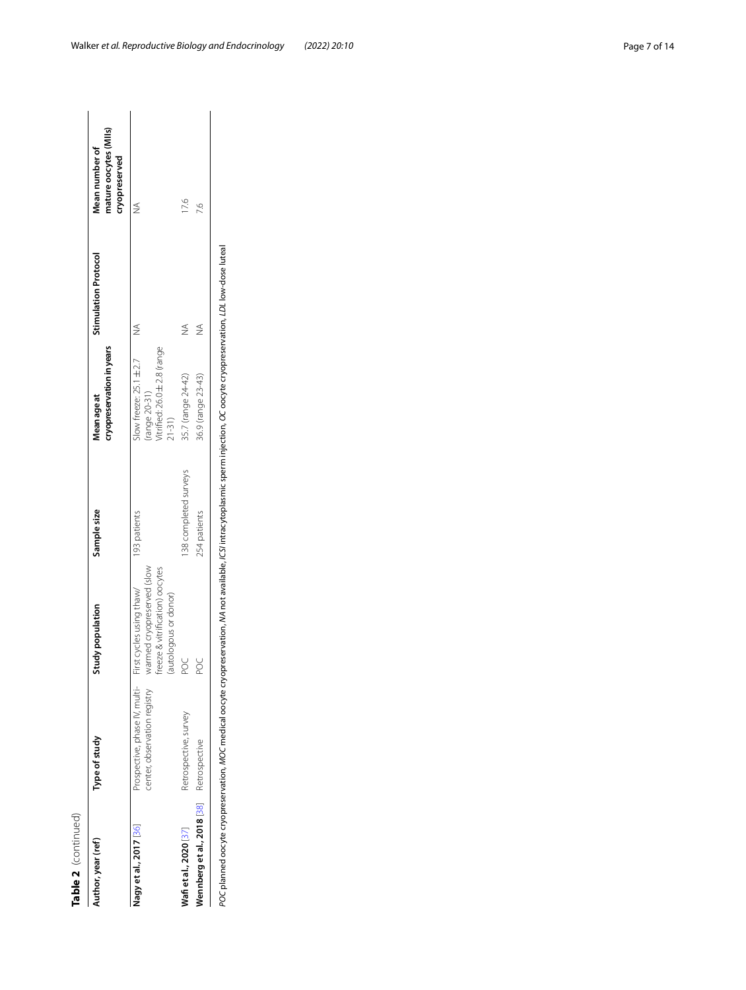| r  |
|----|
| α. |
|    |
|    |
|    |
| U  |
|    |
|    |

| Type of study<br>uthor, year (ref)       |                                                               | tudy population                                                                                                    | Sample size           | cryopreservation in years<br>Mean age at                                                    | <b>Stimulation Protocol</b> | mature oocytes (MIIs)<br>Mean number of<br>cryopreserved |
|------------------------------------------|---------------------------------------------------------------|--------------------------------------------------------------------------------------------------------------------|-----------------------|---------------------------------------------------------------------------------------------|-----------------------------|----------------------------------------------------------|
| Nagy et al., 2017 [36]                   | Prospective, phase IV, multi-<br>center, observation registry | warmed cryopreserved (slow<br>freeze & vitrification) oocytes<br>First cycles using thaw/<br>(autologous or donor) | 193 patients          | Vitrified: 26.0 ± 2.8 (range<br>Slow freeze: $25.1 \pm 2.7$<br>(range 20-31)<br>$21 - 31$ ) | $\frac{4}{2}$               |                                                          |
| Wafi et al., 2020 [37]                   | Retrospective, survey                                         | ४                                                                                                                  | 138 completed surveys | 35.7 (range 24-42)                                                                          | $\frac{4}{2}$               | 17,6                                                     |
| Wennberg et al., 2018 [38] Retrospective |                                                               | 8                                                                                                                  | 254 patients          | 36.9 (range 23-43)                                                                          | ≸                           | 26                                                       |

POC planned oocyte cryopreservation, MOC medical oocyte cryopreservation, NA not available, ICS/intracytoplasmic sperm injection, OC oocyte cryopreservation, LDL low-dose luteal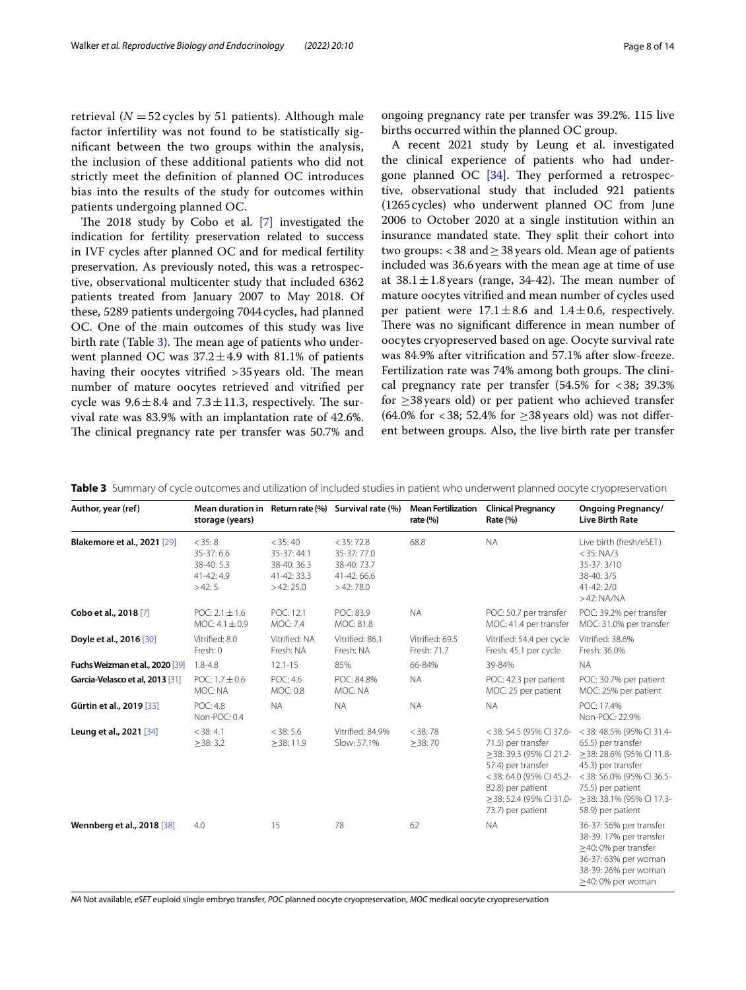retrieval  $(N = 52$  cycles by 51 patients). Although male factor infertility was not found to be statistically signifcant between the two groups within the analysis, the inclusion of these additional patients who did not strictly meet the defnition of planned OC introduces bias into the results of the study for outcomes within patients undergoing planned OC.

The 2018 study by Cobo et al.  $[7]$  $[7]$  investigated the indication for fertility preservation related to success in IVF cycles after planned OC and for medical fertility preservation. As previously noted, this was a retrospective, observational multicenter study that included 6362 patients treated from January 2007 to May 2018. Of these, 5289 patients undergoing 7044cycles, had planned OC. One of the main outcomes of this study was live birth rate (Table  $3$ ). The mean age of patients who underwent planned OC was  $37.2 \pm 4.9$  with 81.1% of patients having their oocytes vitrified  $>35$  years old. The mean number of mature oocytes retrieved and vitrifed per cycle was  $9.6 \pm 8.4$  and  $7.3 \pm 11.3$ , respectively. The survival rate was 83.9% with an implantation rate of 42.6%. The clinical pregnancy rate per transfer was 50.7% and

ongoing pregnancy rate per transfer was 39.2%. 115 live births occurred within the planned OC group.

A recent 2021 study by Leung et al. investigated the clinical experience of patients who had undergone planned OC  $[34]$  $[34]$  $[34]$ . They performed a retrospective, observational study that included 921 patients (1265cycles) who underwent planned OC from June 2006 to October 2020 at a single institution within an insurance mandated state. They split their cohort into two groups: <38 and  $\geq$  38 years old. Mean age of patients included was 36.6years with the mean age at time of use at  $38.1 \pm 1.8$  years (range, 34-42). The mean number of mature oocytes vitrifed and mean number of cycles used per patient were  $17.1 \pm 8.6$  and  $1.4 \pm 0.6$ , respectively. There was no significant difference in mean number of oocytes cryopreserved based on age. Oocyte survival rate was 84.9% after vitrifcation and 57.1% after slow-freeze. Fertilization rate was 74% among both groups. The clinical pregnancy rate per transfer  $(54.5\% \text{ for } < 38; 39.3\%)$ for  $\geq$ 38 years old) or per patient who achieved transfer (64.0% for <38; 52.4% for  $\geq$ 38 years old) was not different between groups. Also, the live birth rate per transfer

| Author, year (ref)                 | Mean duration in Return rate (%) Survival rate (%)<br>storage (years) |                                                                   |                                                                    | <b>Mean Fertilization</b><br>rate $(% )$ | <b>Clinical Pregnancy</b><br>Rate (%)                                                                                                                                                      | <b>Ongoing Pregnancy/</b><br><b>Live Birth Rate</b>                                                                                                                                              |
|------------------------------------|-----------------------------------------------------------------------|-------------------------------------------------------------------|--------------------------------------------------------------------|------------------------------------------|--------------------------------------------------------------------------------------------------------------------------------------------------------------------------------------------|--------------------------------------------------------------------------------------------------------------------------------------------------------------------------------------------------|
| <b>Blakemore et al., 2021 [29]</b> | < 35:8<br>35-37:6.6<br>38-40: 5.3<br>$41 - 42:49$<br>>42:5            | $<$ 35:40<br>35-37:44.1<br>38-40: 36.3<br>41-42: 33.3<br>>42:25.0 | $<$ 35: 72.8<br>35-37:77.0<br>38-40:73.7<br>41-42:66.6<br>>42:78.0 | 68.8                                     | <b>NA</b>                                                                                                                                                                                  | Live birth (fresh/eSET)<br>$<$ 35: NA/3<br>35-37: 3/10<br>38-40: 3/5<br>$41 - 42:2/0$<br>$>42$ : NA/NA                                                                                           |
| Cobo et al., 2018 [7]              | $POC: 2.1 \pm 1.6$<br>$MOC: 4.1 \pm 0.9$                              | POC: 12.1<br><b>MOC: 7.4</b>                                      | POC: 83.9<br>MOC: 81.8                                             | <b>NA</b>                                | POC: 50.7 per transfer<br>MOC: 41.4 per transfer                                                                                                                                           | POC: 39.2% per transfer<br>MOC: 31.0% per transfer                                                                                                                                               |
| Doyle et al., 2016 [30]            | Vitrified: 8.0<br>Fresh: 0                                            | Vitrified: NA<br>Fresh: NA                                        | Vitrified: 86.1<br>Fresh: NA                                       | Vitrified: 69.5<br>Fresh: 71.7           | Vitrified: 54.4 per cycle<br>Fresh: 45.1 per cycle                                                                                                                                         | Vitrified: 38.6%<br>Fresh: 36.0%                                                                                                                                                                 |
| Fuchs Weizman et al., 2020 [39]    | $1.8 - 4.8$                                                           | $12.1 - 15$                                                       | 85%                                                                | 66-84%                                   | 39-84%                                                                                                                                                                                     | <b>NA</b>                                                                                                                                                                                        |
| Garcia-Velasco et al, 2013 [31]    | $POC: 1.7 \pm 0.6$<br>MOC: NA                                         | POC: 4.6<br>MOC: 0.8                                              | POC: 84.8%<br>MOC: NA                                              | <b>NA</b>                                | POC: 42.3 per patient<br>MOC: 25 per patient                                                                                                                                               | POC: 30.7% per patient<br>MOC: 25% per patient                                                                                                                                                   |
| Gürtin et al., 2019 [33]           | <b>POC: 4.8</b><br>Non-POC: 0.4                                       | <b>NA</b>                                                         | <b>NA</b>                                                          | <b>NA</b>                                | <b>NA</b>                                                                                                                                                                                  | POC: 17.4%<br>Non-POC: 22.9%                                                                                                                                                                     |
| Leung et al., 2021 [34]            | $<$ 38: 4.1<br>$\geq$ 38: 3.2                                         | $<$ 38: 5.6<br>>38:11.9                                           | Vitrified: 84.9%<br>Slow: 57.1%                                    | $<$ 38:78<br>$\geq$ 38:70                | <38:54.5 (95% CI 37.6-<br>71.5) per transfer<br>>38:39.3 (95% CI 21.2-<br>57.4) per transfer<br><38:64.0 (95% CI 45.2-<br>82.8) per patient<br>>38:52.4 (95% CI 31.0-<br>73.7) per patient | <38:48.5% (95% CI 31.4-<br>65.5) per transfer<br>>38: 28.6% (95% CI 11.8-<br>45.3) per transfer<br><38:56.0% (95% CI 36.5-<br>75.5) per patient<br>>38: 38.1% (95% CI 17.3-<br>58.9) per patient |
| Wennberg et al., 2018 [38]         | 4.0                                                                   | 15                                                                | 78                                                                 | 62                                       | <b>NA</b>                                                                                                                                                                                  | 36-37: 56% per transfer<br>38-39: 17% per transfer<br>$\geq$ 40: 0% per transfer<br>36-37: 63% per woman<br>38-39: 26% per woman<br>$\geq$ 40: 0% per woman                                      |

<span id="page-7-0"></span>**Table 3** Summary of cycle outcomes and utilization of included studies in patient who underwent planned oocyte cryopreservation

*NA* Not available, *eSET* euploid single embryo transfer, *POC* planned oocyte cryopreservation, *MOC* medical oocyte cryopreservation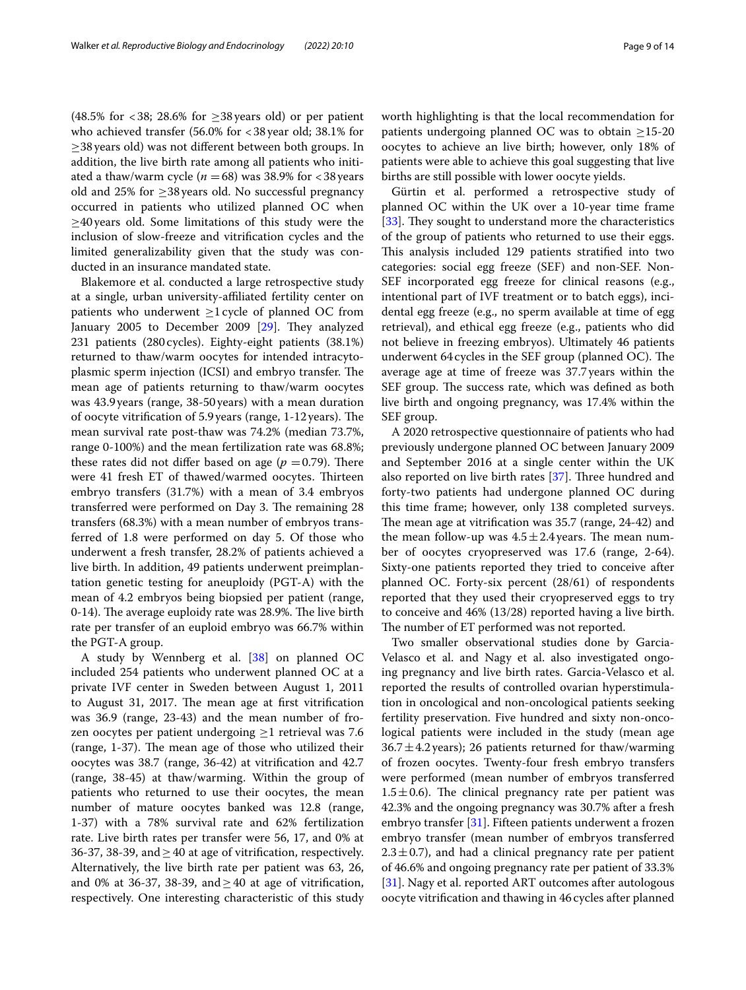(48.5% for  $<38$ ; 28.6% for  $\geq$ 38 years old) or per patient who achieved transfer (56.0% for <38year old; 38.1% for ≥38years old) was not diferent between both groups. In addition, the live birth rate among all patients who initiated a thaw/warm cycle  $(n = 68)$  was 38.9% for  $< 38$  years old and 25% for  $\geq$ 38 years old. No successful pregnancy occurred in patients who utilized planned OC when ≥40years old. Some limitations of this study were the inclusion of slow-freeze and vitrifcation cycles and the limited generalizability given that the study was conducted in an insurance mandated state.

Blakemore et al. conducted a large retrospective study at a single, urban university-afliated fertility center on patients who underwent  $\geq$ 1 cycle of planned OC from January 2005 to December 2009  $[29]$  $[29]$ . They analyzed 231 patients (280cycles). Eighty-eight patients (38.1%) returned to thaw/warm oocytes for intended intracytoplasmic sperm injection (ICSI) and embryo transfer. The mean age of patients returning to thaw/warm oocytes was 43.9years (range, 38-50years) with a mean duration of oocyte vitrification of 5.9 years (range, 1-12 years). The mean survival rate post-thaw was 74.2% (median 73.7%, range 0-100%) and the mean fertilization rate was 68.8%; these rates did not differ based on age  $(p = 0.79)$ . There were 41 fresh ET of thawed/warmed oocytes. Thirteen embryo transfers (31.7%) with a mean of 3.4 embryos transferred were performed on Day 3. The remaining 28 transfers (68.3%) with a mean number of embryos transferred of 1.8 were performed on day 5. Of those who underwent a fresh transfer, 28.2% of patients achieved a live birth. In addition, 49 patients underwent preimplantation genetic testing for aneuploidy (PGT-A) with the mean of 4.2 embryos being biopsied per patient (range, 0-14). The average euploidy rate was 28.9%. The live birth rate per transfer of an euploid embryo was 66.7% within the PGT-A group.

A study by Wennberg et al. [[38](#page-13-9)] on planned OC included 254 patients who underwent planned OC at a private IVF center in Sweden between August 1, 2011 to August 31, 2017. The mean age at first vitrification was 36.9 (range, 23-43) and the mean number of frozen oocytes per patient undergoing ≥1 retrieval was 7.6  $(range, 1-37)$ . The mean age of those who utilized their oocytes was 38.7 (range, 36-42) at vitrifcation and 42.7 (range, 38-45) at thaw/warming. Within the group of patients who returned to use their oocytes, the mean number of mature oocytes banked was 12.8 (range, 1-37) with a 78% survival rate and 62% fertilization rate. Live birth rates per transfer were 56, 17, and 0% at 36-37, 38-39, and  $\geq$  40 at age of vitrification, respectively. Alternatively, the live birth rate per patient was 63, 26, and 0% at 36-37, 38-39, and  $\geq$  40 at age of vitrification, respectively. One interesting characteristic of this study worth highlighting is that the local recommendation for patients undergoing planned OC was to obtain  $\geq$ 15-20 oocytes to achieve an live birth; however, only 18% of patients were able to achieve this goal suggesting that live births are still possible with lower oocyte yields.

Gürtin et al. performed a retrospective study of planned OC within the UK over a 10-year time frame [[33\]](#page-13-4). They sought to understand more the characteristics of the group of patients who returned to use their eggs. This analysis included 129 patients stratified into two categories: social egg freeze (SEF) and non-SEF. Non-SEF incorporated egg freeze for clinical reasons (e.g., intentional part of IVF treatment or to batch eggs), incidental egg freeze (e.g., no sperm available at time of egg retrieval), and ethical egg freeze (e.g., patients who did not believe in freezing embryos). Ultimately 46 patients underwent  $64$  cycles in the SEF group (planned OC). The average age at time of freeze was 37.7 years within the SEF group. The success rate, which was defined as both live birth and ongoing pregnancy, was 17.4% within the SEF group.

A 2020 retrospective questionnaire of patients who had previously undergone planned OC between January 2009 and September 2016 at a single center within the UK also reported on live birth rates  $[37]$ . Three hundred and forty-two patients had undergone planned OC during this time frame; however, only 138 completed surveys. The mean age at vitrification was 35.7 (range, 24-42) and the mean follow-up was  $4.5 \pm 2.4$  years. The mean number of oocytes cryopreserved was 17.6 (range, 2-64). Sixty-one patients reported they tried to conceive after planned OC. Forty-six percent (28/61) of respondents reported that they used their cryopreserved eggs to try to conceive and 46% (13/28) reported having a live birth. The number of ET performed was not reported.

Two smaller observational studies done by Garcia-Velasco et al. and Nagy et al. also investigated ongoing pregnancy and live birth rates. Garcia-Velasco et al. reported the results of controlled ovarian hyperstimulation in oncological and non-oncological patients seeking fertility preservation. Five hundred and sixty non-oncological patients were included in the study (mean age  $36.7 \pm 4.2$  years); 26 patients returned for thaw/warming of frozen oocytes. Twenty-four fresh embryo transfers were performed (mean number of embryos transferred  $1.5 \pm 0.6$ ). The clinical pregnancy rate per patient was 42.3% and the ongoing pregnancy was 30.7% after a fresh embryo transfer [[31\]](#page-13-2). Fifteen patients underwent a frozen embryo transfer (mean number of embryos transferred  $2.3 \pm 0.7$ ), and had a clinical pregnancy rate per patient of 46.6% and ongoing pregnancy rate per patient of 33.3% [[31\]](#page-13-2). Nagy et al. reported ART outcomes after autologous oocyte vitrifcation and thawing in 46 cycles after planned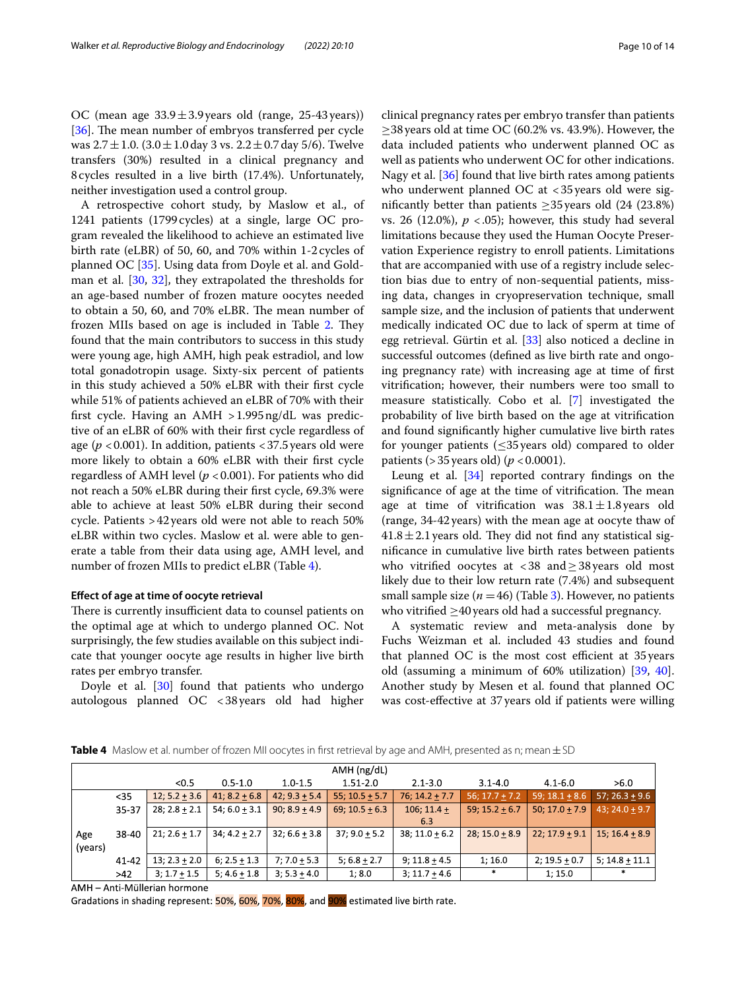OC (mean age  $33.9 \pm 3.9$  years old (range, 25-43 years)) [[36\]](#page-13-7). The mean number of embryos transferred per cycle was  $2.7 \pm 1.0$ .  $(3.0 \pm 1.0$  day 3 vs.  $2.2 \pm 0.7$  day 5/6). Twelve transfers (30%) resulted in a clinical pregnancy and 8cycles resulted in a live birth (17.4%). Unfortunately, neither investigation used a control group.

A retrospective cohort study, by Maslow et al., of 1241 patients (1799cycles) at a single, large OC program revealed the likelihood to achieve an estimated live birth rate (eLBR) of 50, 60, and 70% within 1-2 cycles of planned OC [[35\]](#page-13-6). Using data from Doyle et al. and Gold-man et al. [[30](#page-13-0), [32](#page-13-3)], they extrapolated the thresholds for an age-based number of frozen mature oocytes needed to obtain a 50, 60, and 70% eLBR. The mean number of frozen MIIs based on age is included in Table [2](#page-5-0). They found that the main contributors to success in this study were young age, high AMH, high peak estradiol, and low total gonadotropin usage. Sixty-six percent of patients in this study achieved a 50% eLBR with their frst cycle while 51% of patients achieved an eLBR of 70% with their frst cycle. Having an AMH >1.995ng/dL was predictive of an eLBR of 60% with their frst cycle regardless of age ( $p < 0.001$ ). In addition, patients  $< 37.5$  years old were more likely to obtain a 60% eLBR with their frst cycle regardless of AMH level ( $p < 0.001$ ). For patients who did not reach a 50% eLBR during their frst cycle, 69.3% were able to achieve at least 50% eLBR during their second cycle. Patients >42years old were not able to reach 50% eLBR within two cycles. Maslow et al. were able to generate a table from their data using age, AMH level, and number of frozen MIIs to predict eLBR (Table [4](#page-9-0)).

# **Efect of age at time of oocyte retrieval**

There is currently insufficient data to counsel patients on the optimal age at which to undergo planned OC. Not surprisingly, the few studies available on this subject indicate that younger oocyte age results in higher live birth rates per embryo transfer.

Doyle et al. [\[30](#page-13-0)] found that patients who undergo autologous planned OC <38years old had higher clinical pregnancy rates per embryo transfer than patients  $\geq$ 38 years old at time OC (60.2% vs. 43.9%). However, the data included patients who underwent planned OC as well as patients who underwent OC for other indications. Nagy et al. [[36](#page-13-7)] found that live birth rates among patients who underwent planned OC at  $<$  35 years old were significantly better than patients  $\geq$ 35 years old (24 (23.8%) vs. 26 (12.0%),  $p < .05$ ); however, this study had several limitations because they used the Human Oocyte Preservation Experience registry to enroll patients. Limitations that are accompanied with use of a registry include selection bias due to entry of non-sequential patients, missing data, changes in cryopreservation technique, small sample size, and the inclusion of patients that underwent medically indicated OC due to lack of sperm at time of egg retrieval. Gürtin et al. [[33\]](#page-13-4) also noticed a decline in successful outcomes (defned as live birth rate and ongoing pregnancy rate) with increasing age at time of frst vitrifcation; however, their numbers were too small to measure statistically. Cobo et al. [\[7](#page-12-6)] investigated the probability of live birth based on the age at vitrifcation and found signifcantly higher cumulative live birth rates for younger patients ( $\leq$ 35 years old) compared to older patients ( $>$ 35 years old) ( $p$  < 0.0001).

Leung et al. [\[34](#page-13-5)] reported contrary fndings on the significance of age at the time of vitrification. The mean age at time of vitrification was  $38.1 \pm 1.8$  years old (range, 34-42years) with the mean age at oocyte thaw of  $41.8 \pm 2.1$  years old. They did not find any statistical signifcance in cumulative live birth rates between patients who vitrifed oocytes at <38 and≥38years old most likely due to their low return rate (7.4%) and subsequent small sample size  $(n = 46)$  (Table [3\)](#page-7-0). However, no patients who vitrified  $\geq$ 40 years old had a successful pregnancy.

A systematic review and meta-analysis done by Fuchs Weizman et al. included 43 studies and found that planned  $OC$  is the most cost efficient at 35 years old (assuming a minimum of 60% utilization) [\[39,](#page-13-10) [40](#page-13-11)]. Another study by Mesen et al. found that planned OC was cost-efective at 37years old if patients were willing

<span id="page-9-0"></span>**Table 4** Maslow et al. number of frozen MII oocytes in first retrieval by age and AMH, presented as n; mean  $\pm$  SD

|         |       |                  |                  |                 | $AMH$ (ng/dL)       |                  |                  |                  |                    |
|---------|-------|------------------|------------------|-----------------|---------------------|------------------|------------------|------------------|--------------------|
|         |       | < 0.5            | $0.5 - 1.0$      | $1.0 - 1.5$     | $1.51 - 2.0$        | $2.1 - 3.0$      | $3.1 - 4.0$      | $4.1 - 6.0$      | >6.0               |
|         | $35$  | $12; 5.2 + 3.6$  | $41; 8.2 + 6.8$  | $42; 9.3 + 5.4$ | $55$ ; $10.5 + 5.7$ | $76; 14.2 + 7.7$ | $56; 17.7 + 7.2$ | $59; 18.1 + 8.6$ | $57; 26.3 + 9.6$   |
|         | 35-37 | $28; 2.8 + 2.1$  | $54; 6.0 + 3.1$  | $90; 8.9 + 4.9$ | $69; 10.5 + 6.3$    | $106; 11.4 +$    | $59; 15.2 + 6.7$ | $50; 17.0 + 7.9$ | $43; 24.0 + 9.7$   |
|         |       |                  |                  |                 |                     | 6.3              |                  |                  |                    |
| Age     | 38-40 | $21; 2.6 + 1.7$  | $34; 4.2 + 2.7$  | $32:6.6 + 3.8$  | $37:9.0 + 5.2$      | $38:11.0 + 6.2$  | $28:15.0+8.9$    | $22: 17.9 + 9.1$ | $15:16.4+8.9$      |
| (years) |       |                  |                  |                 |                     |                  |                  |                  |                    |
|         | 41-42 | $13; 2.3 + 2.0$  | $6: 2.5 + 1.3$   | $7:7.0 + 5.3$   | $5; 6.8 + 2.7$      | $9:11.8+4.5$     | 1;16.0           | $2; 19.5 + 0.7$  | 5; $14.8 \pm 11.1$ |
|         | >42   | 3; $1.7 \pm 1.5$ | 5; $4.6 \pm 1.8$ | $3; 5.3 + 4.0$  | 1; 8.0              | $3; 11.7 + 4.6$  | $*$              | 1; 15.0          | $\ast$             |

AMH - Anti-Müllerian hormone

Gradations in shading represent: 50%, 60%, 70%, 80%, and 90% estimated live birth rate.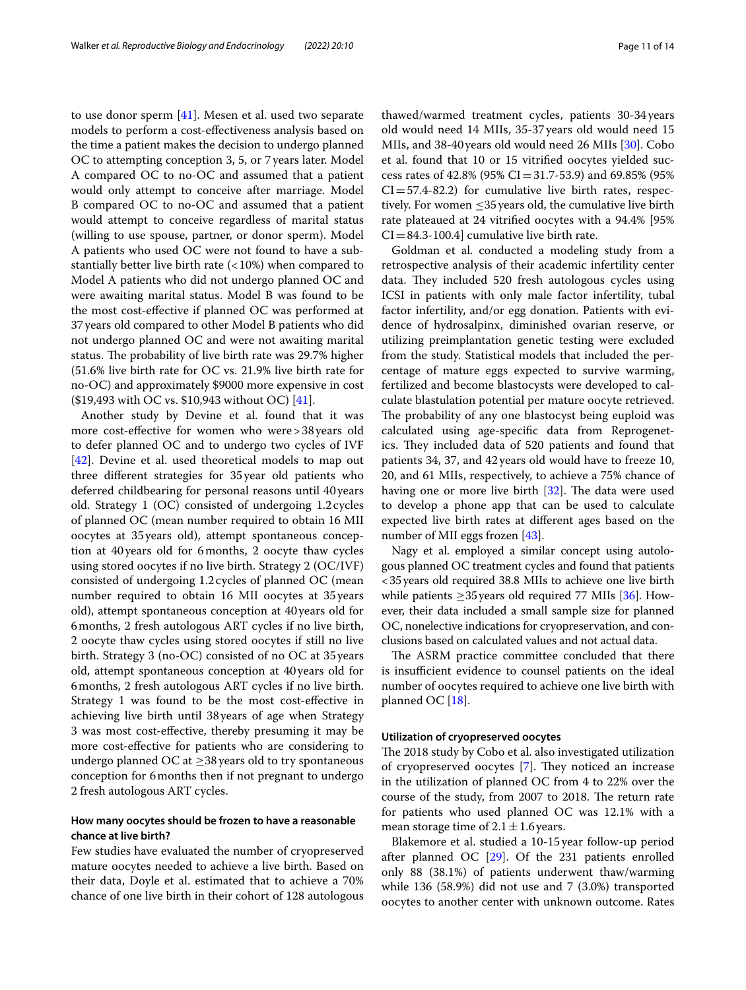to use donor sperm [\[41](#page-13-12)]. Mesen et al. used two separate models to perform a cost-efectiveness analysis based on the time a patient makes the decision to undergo planned OC to attempting conception 3, 5, or 7years later. Model A compared OC to no-OC and assumed that a patient would only attempt to conceive after marriage. Model B compared OC to no-OC and assumed that a patient would attempt to conceive regardless of marital status (willing to use spouse, partner, or donor sperm). Model A patients who used OC were not found to have a substantially better live birth rate  $($  < 10%) when compared to Model A patients who did not undergo planned OC and were awaiting marital status. Model B was found to be the most cost-efective if planned OC was performed at 37years old compared to other Model B patients who did not undergo planned OC and were not awaiting marital status. The probability of live birth rate was 29.7% higher (51.6% live birth rate for OC vs. 21.9% live birth rate for no-OC) and approximately \$9000 more expensive in cost (\$19,493 with OC vs. \$10,943 without OC) [[41](#page-13-12)].

Another study by Devine et al. found that it was more cost-effective for women who were > 38 years old to defer planned OC and to undergo two cycles of IVF [[42\]](#page-13-13). Devine et al. used theoretical models to map out three diferent strategies for 35year old patients who deferred childbearing for personal reasons until 40years old. Strategy 1 (OC) consisted of undergoing 1.2cycles of planned OC (mean number required to obtain 16 MII oocytes at 35years old), attempt spontaneous conception at 40 years old for 6months, 2 oocyte thaw cycles using stored oocytes if no live birth. Strategy 2 (OC/IVF) consisted of undergoing 1.2 cycles of planned OC (mean number required to obtain 16 MII oocytes at 35 years old), attempt spontaneous conception at 40years old for 6months, 2 fresh autologous ART cycles if no live birth, 2 oocyte thaw cycles using stored oocytes if still no live birth. Strategy 3 (no-OC) consisted of no OC at 35years old, attempt spontaneous conception at 40years old for 6months, 2 fresh autologous ART cycles if no live birth. Strategy 1 was found to be the most cost-efective in achieving live birth until 38 years of age when Strategy 3 was most cost-efective, thereby presuming it may be more cost-efective for patients who are considering to undergo planned OC at  $\geq$ 38 years old to try spontaneous conception for 6months then if not pregnant to undergo 2 fresh autologous ART cycles.

# **How many oocytes should be frozen to have a reasonable chance at live birth?**

Few studies have evaluated the number of cryopreserved mature oocytes needed to achieve a live birth. Based on their data, Doyle et al. estimated that to achieve a 70% chance of one live birth in their cohort of 128 autologous thawed/warmed treatment cycles, patients 30-34years old would need 14 MIIs, 35-37years old would need 15 MIIs, and 38-40years old would need 26 MIIs [\[30](#page-13-0)]. Cobo et al. found that 10 or 15 vitrifed oocytes yielded success rates of 42.8% (95% CI=31.7-53.9) and 69.85% (95%  $CI = 57.4-82.2$ ) for cumulative live birth rates, respectively. For women  $\leq$ 35 years old, the cumulative live birth rate plateaued at 24 vitrifed oocytes with a 94.4% [95%  $CI = 84.3 - 100.4$ ] cumulative live birth rate.

Goldman et al. conducted a modeling study from a retrospective analysis of their academic infertility center data. They included 520 fresh autologous cycles using ICSI in patients with only male factor infertility, tubal factor infertility, and/or egg donation. Patients with evidence of hydrosalpinx, diminished ovarian reserve, or utilizing preimplantation genetic testing were excluded from the study. Statistical models that included the percentage of mature eggs expected to survive warming, fertilized and become blastocysts were developed to calculate blastulation potential per mature oocyte retrieved. The probability of any one blastocyst being euploid was calculated using age-specifc data from Reprogenetics. They included data of 520 patients and found that patients 34, 37, and 42 years old would have to freeze 10, 20, and 61 MIIs, respectively, to achieve a 75% chance of having one or more live birth  $[32]$ . The data were used to develop a phone app that can be used to calculate expected live birth rates at diferent ages based on the number of MII eggs frozen [[43](#page-13-14)].

Nagy et al. employed a similar concept using autologous planned OC treatment cycles and found that patients <35years old required 38.8 MIIs to achieve one live birth while patients  $\geq$ 35 years old required 77 MIIs [[36](#page-13-7)]. However, their data included a small sample size for planned OC, nonelective indications for cryopreservation, and conclusions based on calculated values and not actual data.

The ASRM practice committee concluded that there is insufficient evidence to counsel patients on the ideal number of oocytes required to achieve one live birth with planned OC [\[18](#page-12-13)].

# **Utilization of cryopreserved oocytes**

The 2018 study by Cobo et al. also investigated utilization of cryopreserved oocytes [[7\]](#page-12-6). They noticed an increase in the utilization of planned OC from 4 to 22% over the course of the study, from 2007 to 2018. The return rate for patients who used planned OC was 12.1% with a mean storage time of  $2.1 \pm 1.6$  years.

Blakemore et al. studied a 10-15 year follow-up period after planned OC [\[29\]](#page-13-1). Of the 231 patients enrolled only 88 (38.1%) of patients underwent thaw/warming while 136 (58.9%) did not use and 7 (3.0%) transported oocytes to another center with unknown outcome. Rates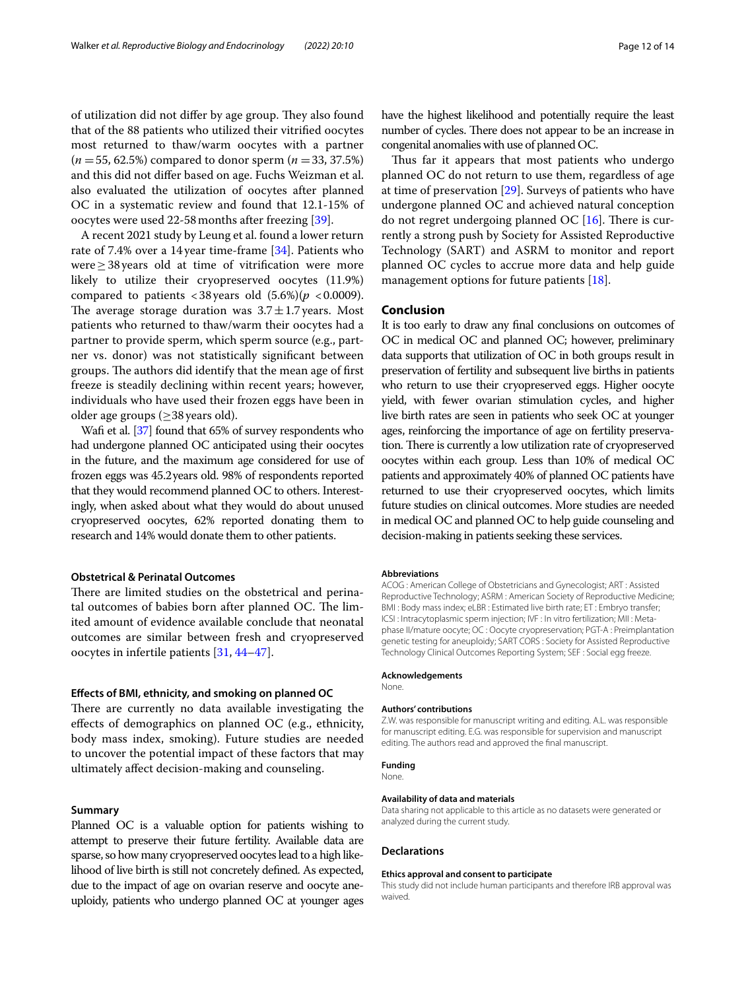of utilization did not differ by age group. They also found that of the 88 patients who utilized their vitrifed oocytes most returned to thaw/warm oocytes with a partner (*n* =55, 62.5%) compared to donor sperm (*n* =33, 37.5%) and this did not difer based on age. Fuchs Weizman et al. also evaluated the utilization of oocytes after planned OC in a systematic review and found that 12.1-15% of oocytes were used 22-58months after freezing [\[39](#page-13-10)].

A recent 2021 study by Leung et al. found a lower return rate of 7.4% over a 14year time-frame [\[34](#page-13-5)]. Patients who were≥38years old at time of vitrifcation were more likely to utilize their cryopreserved oocytes (11.9%) compared to patients  $\langle 38 \rangle$  years old  $(5.6\%) (p \langle 0.0009 \rangle)$ . The average storage duration was  $3.7 \pm 1.7$  years. Most patients who returned to thaw/warm their oocytes had a partner to provide sperm, which sperm source (e.g., partner vs. donor) was not statistically signifcant between groups. The authors did identify that the mean age of first freeze is steadily declining within recent years; however, individuals who have used their frozen eggs have been in older age groups ( $\geq$ 38 years old).

Wafi et al. [\[37\]](#page-13-8) found that 65% of survey respondents who had undergone planned OC anticipated using their oocytes in the future, and the maximum age considered for use of frozen eggs was 45.2years old. 98% of respondents reported that they would recommend planned OC to others. Interestingly, when asked about what they would do about unused cryopreserved oocytes, 62% reported donating them to research and 14% would donate them to other patients.

#### **Obstetrical & Perinatal Outcomes**

There are limited studies on the obstetrical and perinatal outcomes of babies born after planned OC. The limited amount of evidence available conclude that neonatal outcomes are similar between fresh and cryopreserved oocytes in infertile patients [\[31](#page-13-2), [44](#page-13-15)[–47](#page-13-16)].

#### **Efects of BMI, ethnicity, and smoking on planned OC**

There are currently no data available investigating the efects of demographics on planned OC (e.g., ethnicity, body mass index, smoking). Future studies are needed to uncover the potential impact of these factors that may ultimately afect decision-making and counseling.

# **Summary**

Planned OC is a valuable option for patients wishing to attempt to preserve their future fertility. Available data are sparse, so how many cryopreserved oocytes lead to a high likelihood of live birth is still not concretely defned. As expected, due to the impact of age on ovarian reserve and oocyte aneuploidy, patients who undergo planned OC at younger ages have the highest likelihood and potentially require the least number of cycles. There does not appear to be an increase in congenital anomalies with use of planned OC.

Thus far it appears that most patients who undergo planned OC do not return to use them, regardless of age at time of preservation [[29\]](#page-13-1). Surveys of patients who have undergone planned OC and achieved natural conception do not regret undergoing planned OC  $[16]$ . There is currently a strong push by Society for Assisted Reproductive Technology (SART) and ASRM to monitor and report planned OC cycles to accrue more data and help guide management options for future patients [[18](#page-12-13)].

#### **Conclusion**

It is too early to draw any fnal conclusions on outcomes of OC in medical OC and planned OC; however, preliminary data supports that utilization of OC in both groups result in preservation of fertility and subsequent live births in patients who return to use their cryopreserved eggs. Higher oocyte yield, with fewer ovarian stimulation cycles, and higher live birth rates are seen in patients who seek OC at younger ages, reinforcing the importance of age on fertility preservation. There is currently a low utilization rate of cryopreserved oocytes within each group. Less than 10% of medical OC patients and approximately 40% of planned OC patients have returned to use their cryopreserved oocytes, which limits future studies on clinical outcomes. More studies are needed in medical OC and planned OC to help guide counseling and decision-making in patients seeking these services.

#### **Abbreviations**

ACOG : American College of Obstetricians and Gynecologist; ART : Assisted Reproductive Technology; ASRM : American Society of Reproductive Medicine; BMI : Body mass index; eLBR : Estimated live birth rate; ET : Embryo transfer; ICSI : Intracytoplasmic sperm injection; IVF : In vitro fertilization; MII : Metaphase II/mature oocyte; OC : Oocyte cryopreservation; PGT-A : Preimplantation genetic testing for aneuploidy; SART CORS : Society for Assisted Reproductive Technology Clinical Outcomes Reporting System; SEF : Social egg freeze.

#### **Acknowledgements**

None.

#### **Authors' contributions**

Z.W. was responsible for manuscript writing and editing. A.L. was responsible for manuscript editing. E.G. was responsible for supervision and manuscript editing. The authors read and approved the fnal manuscript.

**Funding**

#### None.

#### **Availability of data and materials**

Data sharing not applicable to this article as no datasets were generated or analyzed during the current study.

#### **Declarations**

#### **Ethics approval and consent to participate**

This study did not include human participants and therefore IRB approval was waived.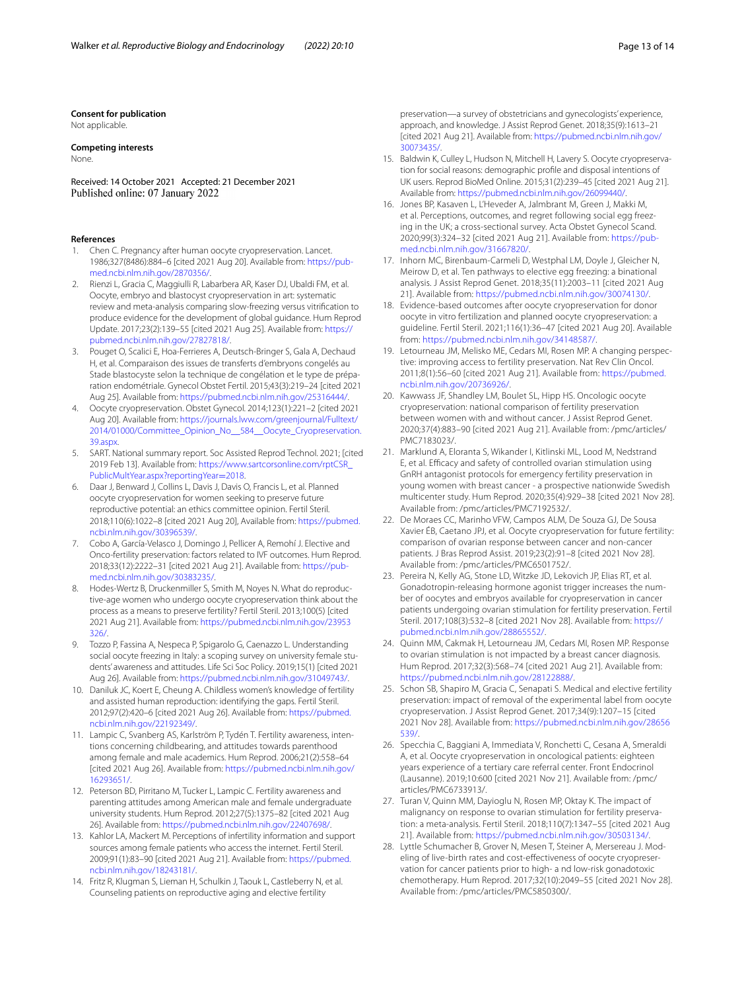**Consent for publication**

Not applicable.

# **Competing interests**

None.

Received: 14 October 2021 Accepted: 21 December 2021 Published online: 07 January 2022

#### **References**

- <span id="page-12-0"></span>1. Chen C. Pregnancy after human oocyte cryopreservation. Lancet. 1986;327(8486):884–6 [cited 2021 Aug 20]. Available from: [https://pub](https://pubmed.ncbi.nlm.nih.gov/2870356/)[med.ncbi.nlm.nih.gov/2870356/](https://pubmed.ncbi.nlm.nih.gov/2870356/).
- <span id="page-12-1"></span>2. Rienzi L, Gracia C, Maggiulli R, Labarbera AR, Kaser DJ, Ubaldi FM, et al. Oocyte, embryo and blastocyst cryopreservation in art: systematic review and meta-analysis comparing slow-freezing versus vitrifcation to produce evidence for the development of global guidance. Hum Reprod Update. 2017;23(2):139–55 [cited 2021 Aug 25]. Available from: [https://](https://pubmed.ncbi.nlm.nih.gov/27827818/) [pubmed.ncbi.nlm.nih.gov/27827818/](https://pubmed.ncbi.nlm.nih.gov/27827818/).
- <span id="page-12-2"></span>3. Pouget O, Scalici E, Hoa-Ferrieres A, Deutsch-Bringer S, Gala A, Dechaud H, et al. Comparaison des issues de transferts d'embryons congelés au Stade blastocyste selon la technique de congélation et le type de préparation endométriale. Gynecol Obstet Fertil. 2015;43(3):219–24 [cited 2021 Aug 25]. Available from: [https://pubmed.ncbi.nlm.nih.gov/25316444/.](https://pubmed.ncbi.nlm.nih.gov/25316444/)
- <span id="page-12-3"></span>4. Oocyte cryopreservation. Obstet Gynecol. 2014;123(1):221–2 [cited 2021 Aug 20]. Available from: [https://journals.lww.com/greenjournal/Fulltext/](https://journals.lww.com/greenjournal/Fulltext/2014/01000/Committee_Opinion_No__584__Oocyte_Cryopreservation.39.aspx) [2014/01000/Committee\\_Opinion\\_No\\_\\_584\\_\\_Oocyte\\_Cryopreservation.](https://journals.lww.com/greenjournal/Fulltext/2014/01000/Committee_Opinion_No__584__Oocyte_Cryopreservation.39.aspx) [39.aspx.](https://journals.lww.com/greenjournal/Fulltext/2014/01000/Committee_Opinion_No__584__Oocyte_Cryopreservation.39.aspx)
- <span id="page-12-4"></span>5. SART. National summary report. Soc Assisted Reprod Technol. 2021; [cited 2019 Feb 13]. Available from: [https://www.sartcorsonline.com/rptCSR\\_](https://www.sartcorsonline.com/rptCSR_PublicMultYear.aspx?reportingYear=2018) [PublicMultYear.aspx?reportingYear](https://www.sartcorsonline.com/rptCSR_PublicMultYear.aspx?reportingYear=2018)=2018.
- <span id="page-12-5"></span>6. Daar J, Benward J, Collins L, Davis J, Davis O, Francis L, et al. Planned oocyte cryopreservation for women seeking to preserve future reproductive potential: an ethics committee opinion. Fertil Steril. 2018;110(6):1022–8 [cited 2021 Aug 20], Available from: [https://pubmed.](https://pubmed.ncbi.nlm.nih.gov/30396539/) [ncbi.nlm.nih.gov/30396539/](https://pubmed.ncbi.nlm.nih.gov/30396539/).
- <span id="page-12-6"></span>7. Cobo A, García-Velasco J, Domingo J, Pellicer A, Remohí J. Elective and Onco-fertility preservation: factors related to IVF outcomes. Hum Reprod. 2018;33(12):2222–31 [cited 2021 Aug 21]. Available from: [https://pub](https://pubmed.ncbi.nlm.nih.gov/30383235/)[med.ncbi.nlm.nih.gov/30383235/](https://pubmed.ncbi.nlm.nih.gov/30383235/).
- <span id="page-12-7"></span>8. Hodes-Wertz B, Druckenmiller S, Smith M, Noyes N. What do reproductive-age women who undergo oocyte cryopreservation think about the process as a means to preserve fertility? Fertil Steril. 2013;100(5) [cited 2021 Aug 21]. Available from: [https://pubmed.ncbi.nlm.nih.gov/23953](https://pubmed.ncbi.nlm.nih.gov/23953326/) [326/](https://pubmed.ncbi.nlm.nih.gov/23953326/)
- 9. Tozzo P, Fassina A, Nespeca P, Spigarolo G, Caenazzo L. Understanding social oocyte freezing in Italy: a scoping survey on university female students' awareness and attitudes. Life Sci Soc Policy. 2019;15(1) [cited 2021 Aug 26]. Available from: [https://pubmed.ncbi.nlm.nih.gov/31049743/.](https://pubmed.ncbi.nlm.nih.gov/31049743/)
- 10. Daniluk JC, Koert E, Cheung A. Childless women's knowledge of fertility and assisted human reproduction: identifying the gaps. Fertil Steril. 2012;97(2):420–6 [cited 2021 Aug 26]. Available from: [https://pubmed.](https://pubmed.ncbi.nlm.nih.gov/22192349/) [ncbi.nlm.nih.gov/22192349/](https://pubmed.ncbi.nlm.nih.gov/22192349/).
- 11. Lampic C, Svanberg AS, Karlström P, Tydén T. Fertility awareness, intentions concerning childbearing, and attitudes towards parenthood among female and male academics. Hum Reprod. 2006;21(2):558–64 [cited 2021 Aug 26]. Available from: [https://pubmed.ncbi.nlm.nih.gov/](https://pubmed.ncbi.nlm.nih.gov/16293651/) [16293651/.](https://pubmed.ncbi.nlm.nih.gov/16293651/)
- <span id="page-12-8"></span>12. Peterson BD, Pirritano M, Tucker L, Lampic C. Fertility awareness and parenting attitudes among American male and female undergraduate university students. Hum Reprod. 2012;27(5):1375–82 [cited 2021 Aug 26]. Available from: [https://pubmed.ncbi.nlm.nih.gov/22407698/.](https://pubmed.ncbi.nlm.nih.gov/22407698/)
- <span id="page-12-9"></span>13. Kahlor LA, Mackert M. Perceptions of infertility information and support sources among female patients who access the internet. Fertil Steril. 2009;91(1):83–90 [cited 2021 Aug 21]. Available from: [https://pubmed.](https://pubmed.ncbi.nlm.nih.gov/18243181/) [ncbi.nlm.nih.gov/18243181/](https://pubmed.ncbi.nlm.nih.gov/18243181/).
- <span id="page-12-10"></span>14. Fritz R, Klugman S, Lieman H, Schulkin J, Taouk L, Castleberry N, et al. Counseling patients on reproductive aging and elective fertility

preservation—a survey of obstetricians and gynecologists' experience, approach, and knowledge. J Assist Reprod Genet. 2018;35(9):1613–21 [cited 2021 Aug 21]. Available from: [https://pubmed.ncbi.nlm.nih.gov/](https://pubmed.ncbi.nlm.nih.gov/30073435/) [30073435/.](https://pubmed.ncbi.nlm.nih.gov/30073435/)

- <span id="page-12-11"></span>15. Baldwin K, Culley L, Hudson N, Mitchell H, Lavery S. Oocyte cryopreservation for social reasons: demographic profle and disposal intentions of UK users. Reprod BioMed Online. 2015;31(2):239–45 [cited 2021 Aug 21]. Available from: <https://pubmed.ncbi.nlm.nih.gov/26099440/>.
- <span id="page-12-24"></span>16. Jones BP, Kasaven L, L'Heveder A, Jalmbrant M, Green J, Makki M, et al. Perceptions, outcomes, and regret following social egg freezing in the UK; a cross-sectional survey. Acta Obstet Gynecol Scand. 2020;99(3):324–32 [cited 2021 Aug 21]. Available from: [https://pub](https://pubmed.ncbi.nlm.nih.gov/31667820/)[med.ncbi.nlm.nih.gov/31667820/](https://pubmed.ncbi.nlm.nih.gov/31667820/).
- <span id="page-12-12"></span>17. Inhorn MC, Birenbaum-Carmeli D, Westphal LM, Doyle J, Gleicher N, Meirow D, et al. Ten pathways to elective egg freezing: a binational analysis. J Assist Reprod Genet. 2018;35(11):2003–11 [cited 2021 Aug 21]. Available from: <https://pubmed.ncbi.nlm.nih.gov/30074130/>.
- <span id="page-12-13"></span>18. Evidence-based outcomes after oocyte cryopreservation for donor oocyte in vitro fertilization and planned oocyte cryopreservation: a guideline. Fertil Steril. 2021;116(1):36–47 [cited 2021 Aug 20]. Available from: [https://pubmed.ncbi.nlm.nih.gov/34148587/.](https://pubmed.ncbi.nlm.nih.gov/34148587/)
- <span id="page-12-14"></span>19. Letourneau JM, Melisko ME, Cedars MI, Rosen MP. A changing perspective: improving access to fertility preservation. Nat Rev Clin Oncol. 2011;8(1):56–60 [cited 2021 Aug 21]. Available from: [https://pubmed.](https://pubmed.ncbi.nlm.nih.gov/20736926/) [ncbi.nlm.nih.gov/20736926/.](https://pubmed.ncbi.nlm.nih.gov/20736926/)
- <span id="page-12-19"></span>20. Kawwass JF, Shandley LM, Boulet SL, Hipp HS. Oncologic oocyte cryopreservation: national comparison of fertility preservation between women with and without cancer. J Assist Reprod Genet. 2020;37(4):883–90 [cited 2021 Aug 21]. Available from: /pmc/articles/ PMC7183023/.
- <span id="page-12-18"></span>21. Marklund A, Eloranta S, Wikander I, Kitlinski ML, Lood M, Nedstrand E, et al. Efficacy and safety of controlled ovarian stimulation using GnRH antagonist protocols for emergency fertility preservation in young women with breast cancer - a prospective nationwide Swedish multicenter study. Hum Reprod. 2020;35(4):929–38 [cited 2021 Nov 28]. Available from: /pmc/articles/PMC7192532/.
- <span id="page-12-15"></span>22. De Moraes CC, Marinho VFW, Campos ALM, De Souza GJ, De Sousa Xavier ÉB, Caetano JPJ, et al. Oocyte cryopreservation for future fertility: comparison of ovarian response between cancer and non-cancer patients. J Bras Reprod Assist. 2019;23(2):91–8 [cited 2021 Nov 28]. Available from: /pmc/articles/PMC6501752/.
- <span id="page-12-20"></span>23. Pereira N, Kelly AG, Stone LD, Witzke JD, Lekovich JP, Elias RT, et al. Gonadotropin-releasing hormone agonist trigger increases the number of oocytes and embryos available for cryopreservation in cancer patients undergoing ovarian stimulation for fertility preservation. Fertil Steril. 2017;108(3):532–8 [cited 2021 Nov 28]. Available from: [https://](https://pubmed.ncbi.nlm.nih.gov/28865552/) [pubmed.ncbi.nlm.nih.gov/28865552/.](https://pubmed.ncbi.nlm.nih.gov/28865552/)
- <span id="page-12-21"></span>24. Quinn MM, Cakmak H, Letourneau JM, Cedars MI, Rosen MP. Response to ovarian stimulation is not impacted by a breast cancer diagnosis. Hum Reprod. 2017;32(3):568–74 [cited 2021 Aug 21]. Available from: [https://pubmed.ncbi.nlm.nih.gov/28122888/.](https://pubmed.ncbi.nlm.nih.gov/28122888/)
- <span id="page-12-16"></span>25. Schon SB, Shapiro M, Gracia C, Senapati S. Medical and elective fertility preservation: impact of removal of the experimental label from oocyte cryopreservation. J Assist Reprod Genet. 2017;34(9):1207–15 [cited 2021 Nov 28]. Available from: [https://pubmed.ncbi.nlm.nih.gov/28656](https://pubmed.ncbi.nlm.nih.gov/28656539/) [539/.](https://pubmed.ncbi.nlm.nih.gov/28656539/)
- <span id="page-12-17"></span>26. Specchia C, Baggiani A, Immediata V, Ronchetti C, Cesana A, Smeraldi A, et al. Oocyte cryopreservation in oncological patients: eighteen years experience of a tertiary care referral center. Front Endocrinol (Lausanne). 2019;10:600 [cited 2021 Nov 21]. Available from: /pmc/ articles/PMC6733913/.
- <span id="page-12-22"></span>27. Turan V, Quinn MM, Dayioglu N, Rosen MP, Oktay K. The impact of malignancy on response to ovarian stimulation for fertility preservation: a meta-analysis. Fertil Steril. 2018;110(7):1347–55 [cited 2021 Aug 21]. Available from: <https://pubmed.ncbi.nlm.nih.gov/30503134/>.
- <span id="page-12-23"></span>28. Lyttle Schumacher B, Grover N, Mesen T, Steiner A, Mersereau J. Modeling of live-birth rates and cost-efectiveness of oocyte cryopreservation for cancer patients prior to high- a nd low-risk gonadotoxic chemotherapy. Hum Reprod. 2017;32(10):2049–55 [cited 2021 Nov 28]. Available from: /pmc/articles/PMC5850300/.